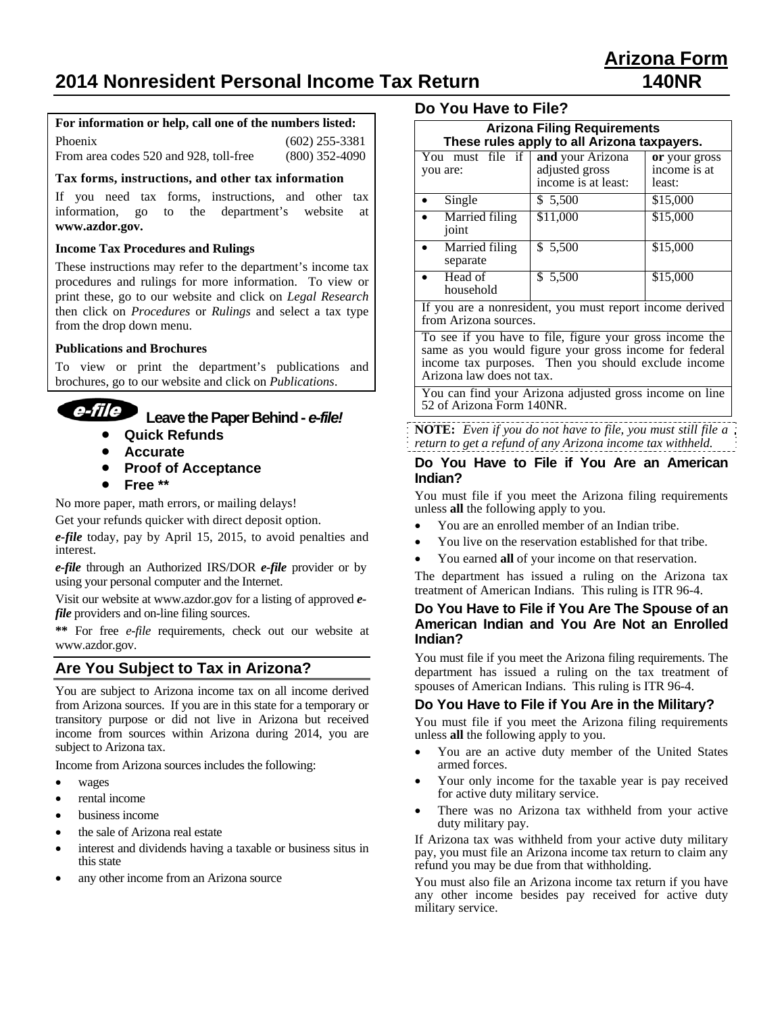# **2014 Nonresident Personal Income Tax Return 140NR**

#### **For information or help, call one of the numbers listed:**

| Phoenix                                | $(602)$ 255-3381 |
|----------------------------------------|------------------|
| From area codes 520 and 928, toll-free | $(800)$ 352-4090 |

#### **Tax forms, instructions, and other tax information**

If you need tax forms, instructions, and other tax information, go to the department's website at **www.azdor.gov.**

#### **Income Tax Procedures and Rulings**

These instructions may refer to the department's income tax procedures and rulings for more information. To view or print these, go to our website and click on *Legal Research* then click on *Procedures* or *Rulings* and select a tax type from the drop down menu.

#### **Publications and Brochures**

To view or print the department's publications and brochures, go to our website and click on *Publications*.



# **Leave the Paper Behind -** *e-file!*

- **Quick Refunds**
- **Accurate**
- **Proof of Acceptance**
- **Free \*\***

No more paper, math errors, or mailing delays!

Get your refunds quicker with direct deposit option.

*e-file* today, pay by April 15, 2015, to avoid penalties and interest.

*e-file* through an Authorized IRS/DOR *e-file* provider or by using your personal computer and the Internet.

Visit our website at www.azdor.gov for a listing of approved *efile* providers and on-line filing sources.

**\*\*** For free *e-file* requirements, check out our website at www.azdor.gov.

## **Are You Subject to Tax in Arizona?**

You are subject to Arizona income tax on all income derived from Arizona sources. If you are in this state for a temporary or transitory purpose or did not live in Arizona but received income from sources within Arizona during 2014, you are subject to Arizona tax.

Income from Arizona sources includes the following:

- wages
- rental income
- business income
- the sale of Arizona real estate
- interest and dividends having a taxable or business situs in this state
- any other income from an Arizona source

## **Do You Have to File?**

| <b>Arizona Filing Requirements</b><br>These rules apply to all Arizona taxpayers. |                                                           |                                         |  |
|-----------------------------------------------------------------------------------|-----------------------------------------------------------|-----------------------------------------|--|
| You must file if<br>you are:                                                      | and your Arizona<br>adjusted gross<br>income is at least: | or your gross<br>income is at<br>least: |  |
| Single                                                                            | \$ 5,500                                                  | \$15,000                                |  |
| Married filing<br>joint                                                           | \$11,000                                                  | \$15,000                                |  |
| Married filing<br>separate                                                        | \$5,500                                                   | \$15,000                                |  |
| Head of<br>household                                                              | \$5,500                                                   | \$15,000                                |  |
| If you are a nonresident, you must report income derived<br>from Arizona sources. |                                                           |                                         |  |

To see if you have to file, figure your gross income the same as you would figure your gross income for federal income tax purposes. Then you should exclude income Arizona law does not tax.

You can find your Arizona adjusted gross income on line 52 of Arizona Form 140NR.

**NOTE:** *Even if you do not have to file, you must still file a return to get a refund of any Arizona income tax withheld.*

#### **Do You Have to File if You Are an American Indian?**

You must file if you meet the Arizona filing requirements unless **all** the following apply to you.

- You are an enrolled member of an Indian tribe.
- You live on the reservation established for that tribe.
- You earned **all** of your income on that reservation.

The department has issued a ruling on the Arizona tax treatment of American Indians. This ruling is ITR 96-4.

#### **Do You Have to File if You Are The Spouse of an American Indian and You Are Not an Enrolled Indian?**

You must file if you meet the Arizona filing requirements. The department has issued a ruling on the tax treatment of spouses of American Indians. This ruling is ITR 96-4.

#### **Do You Have to File if You Are in the Military?**

You must file if you meet the Arizona filing requirements unless **all** the following apply to you.

- You are an active duty member of the United States armed forces.
- Your only income for the taxable year is pay received for active duty military service.
- There was no Arizona tax withheld from your active duty military pay.

If Arizona tax was withheld from your active duty military pay, you must file an Arizona income tax return to claim any refund you may be due from that withholding.

You must also file an Arizona income tax return if you have any other income besides pay received for active duty military service.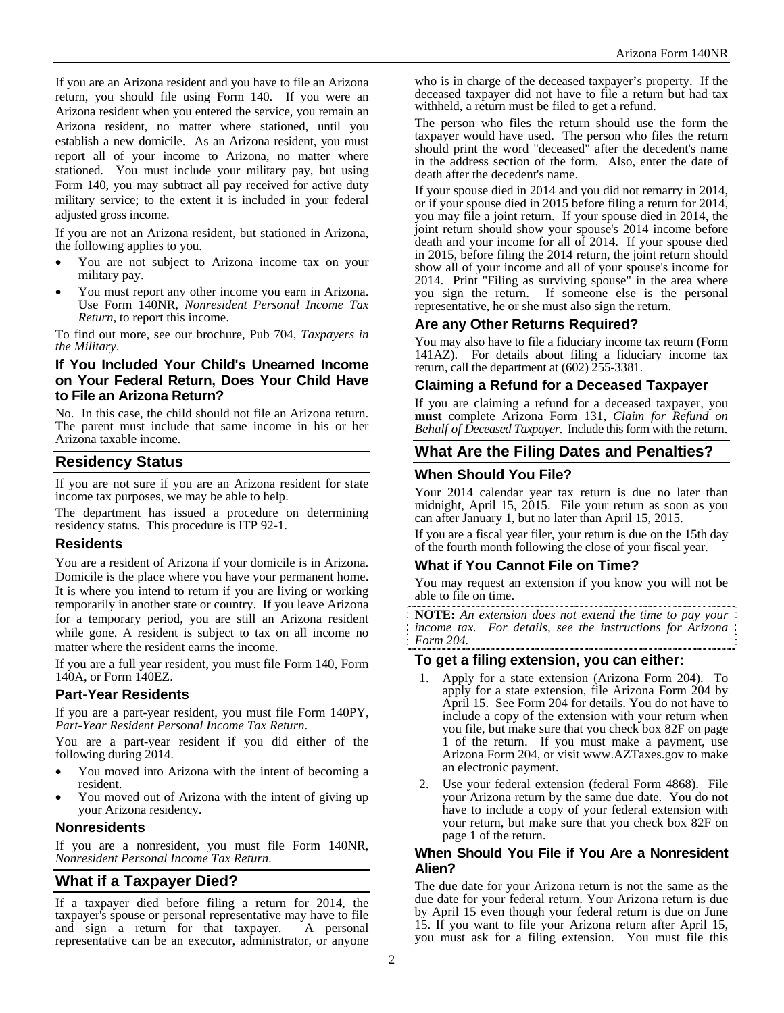If you are an Arizona resident and you have to file an Arizona return, you should file using Form 140. If you were an Arizona resident when you entered the service, you remain an Arizona resident, no matter where stationed, until you establish a new domicile. As an Arizona resident, you must report all of your income to Arizona, no matter where stationed. You must include your military pay, but using Form 140, you may subtract all pay received for active duty military service; to the extent it is included in your federal adjusted gross income.

If you are not an Arizona resident, but stationed in Arizona, the following applies to you.

- You are not subject to Arizona income tax on your military pay.
- You must report any other income you earn in Arizona. Use Form 140NR, *Nonresident Personal Income Tax Return*, to report this income.

To find out more, see our brochure, Pub 704, *Taxpayers in the Military*.

## **If You Included Your Child's Unearned Income on Your Federal Return, Does Your Child Have to File an Arizona Return?**

No. In this case, the child should not file an Arizona return. The parent must include that same income in his or her Arizona taxable income.

## **Residency Status**

If you are not sure if you are an Arizona resident for state income tax purposes, we may be able to help.

The department has issued a procedure on determining residency status. This procedure is ITP 92-1.

#### **Residents**

You are a resident of Arizona if your domicile is in Arizona. Domicile is the place where you have your permanent home. It is where you intend to return if you are living or working temporarily in another state or country. If you leave Arizona for a temporary period, you are still an Arizona resident while gone. A resident is subject to tax on all income no matter where the resident earns the income.

If you are a full year resident, you must file Form 140, Form 140A, or Form 140EZ.

## **Part-Year Residents**

If you are a part-year resident, you must file Form 140PY, *Part-Year Resident Personal Income Tax Return*.

You are a part-year resident if you did either of the following during 2014.

- You moved into Arizona with the intent of becoming a resident.
- You moved out of Arizona with the intent of giving up your Arizona residency.

## **Nonresidents**

If you are a nonresident, you must file Form 140NR, *Nonresident Personal Income Tax Return.*

## **What if a Taxpayer Died?**

If a taxpayer died before filing a return for 2014, the taxpayer's spouse or personal representative may have to file and sign a return for that taxpayer. A personal representative can be an executor, administrator, or anyone

who is in charge of the deceased taxpayer's property. If the deceased taxpayer did not have to file a return but had tax withheld, a return must be filed to get a refund.

The person who files the return should use the form the taxpayer would have used. The person who files the return should print the word "deceased" after the decedent's name in the address section of the form. Also, enter the date of death after the decedent's name.

If your spouse died in 2014 and you did not remarry in 2014, or if your spouse died in 2015 before filing a return for 2014, you may file a joint return. If your spouse died in 2014, the joint return should show your spouse's 2014 income before death and your income for all of 2014. If your spouse died in 2015, before filing the 2014 return, the joint return should show all of your income and all of your spouse's income for 2014. Print "Filing as surviving spouse" in the area where you sign the return. If someone else is the personal representative, he or she must also sign the return.

## **Are any Other Returns Required?**

You may also have to file a fiduciary income tax return (Form 141AZ). For details about filing a fiduciary income tax return, call the department at (602) 255-3381.

## **Claiming a Refund for a Deceased Taxpayer**

If you are claiming a refund for a deceased taxpayer, you **must** complete Arizona Form 131, *Claim for Refund on Behalf of Deceased Taxpayer*. Include this form with the return.

# **What Are the Filing Dates and Penalties?**

## **When Should You File?**

Your 2014 calendar year tax return is due no later than midnight, April 15, 2015. File your return as soon as you can after January 1, but no later than April 15, 2015.

If you are a fiscal year filer, your return is due on the 15th day of the fourth month following the close of your fiscal year.

## **What if You Cannot File on Time?**

You may request an extension if you know you will not be able to file on time.

**NOTE:** *An extension does not extend the time to pay your income tax. For details, see the instructions for Arizona Form 204.* 

## **To get a filing extension, you can either:**

- 1. Apply for a state extension (Arizona Form 204). To apply for a state extension, file Arizona Form 204 by April 15. See Form 204 for details. You do not have to include a copy of the extension with your return when you file, but make sure that you check box 82F on page 1 of the return. If you must make a payment, use Arizona Form 204, or visit www.AZTaxes.gov to make an electronic payment.
- 2. Use your federal extension (federal Form 4868). File your Arizona return by the same due date. You do not have to include a copy of your federal extension with your return, but make sure that you check box 82F on page 1 of the return.

#### **When Should You File if You Are a Nonresident Alien?**

The due date for your Arizona return is not the same as the due date for your federal return. Your Arizona return is due by April 15 even though your federal return is due on June 15. If you want to file your Arizona return after April 15, you must ask for a filing extension. You must file this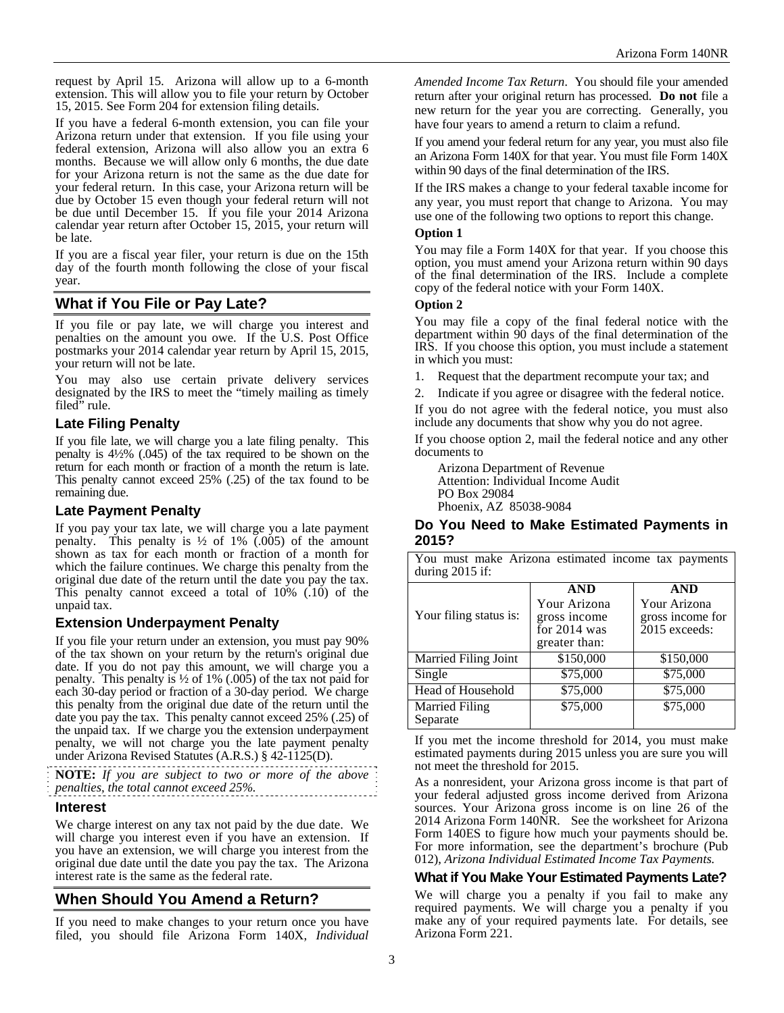request by April 15. Arizona will allow up to a 6-month extension. This will allow you to file your return by October 15, 2015. See Form 204 for extension filing details.

If you have a federal 6-month extension, you can file your Arizona return under that extension. If you file using your federal extension, Arizona will also allow you an extra 6 months. Because we will allow only 6 months, the due date for your Arizona return is not the same as the due date for your federal return. In this case, your Arizona return will be due by October 15 even though your federal return will not be due until December 15. If you file your 2014 Arizona calendar year return after October 15, 2015, your return will be late.

If you are a fiscal year filer, your return is due on the 15th day of the fourth month following the close of your fiscal year.

## **What if You File or Pay Late?**

If you file or pay late, we will charge you interest and penalties on the amount you owe. If the U.S. Post Office postmarks your 2014 calendar year return by April 15, 2015, your return will not be late.

You may also use certain private delivery services designated by the IRS to meet the "timely mailing as timely filed" rule.

#### **Late Filing Penalty**

If you file late, we will charge you a late filing penalty. This penalty is 4½% (.045) of the tax required to be shown on the return for each month or fraction of a month the return is late. This penalty cannot exceed 25% (.25) of the tax found to be remaining due.

## **Late Payment Penalty**

If you pay your tax late, we will charge you a late payment penalty. This penalty is  $\frac{1}{2}$  of 1% (.005) of the amount shown as tax for each month or fraction of a month for which the failure continues. We charge this penalty from the original due date of the return until the date you pay the tax. This penalty cannot exceed a total of  $10\%$  (.10) of the unpaid tax.

#### **Extension Underpayment Penalty**

If you file your return under an extension, you must pay 90% of the tax shown on your return by the return's original due date. If you do not pay this amount, we will charge you a penalty. This penalty is ½ of 1% (.005) of the tax not paid for each 30-day period or fraction of a 30-day period. We charge this penalty from the original due date of the return until the date you pay the tax. This penalty cannot exceed 25% (.25) of the unpaid tax. If we charge you the extension underpayment penalty, we will not charge you the late payment penalty under Arizona Revised Statutes (A.R.S.) § 42-1125(D).

**NOTE:** *If you are subject to two or more of the above penalties, the total cannot exceed 25%.* 

#### **Interest**

We charge interest on any tax not paid by the due date. We will charge you interest even if you have an extension. If you have an extension, we will charge you interest from the original due date until the date you pay the tax. The Arizona interest rate is the same as the federal rate.

## **When Should You Amend a Return?**

If you need to make changes to your return once you have filed, you should file Arizona Form 140X, *Individual*  *Amended Income Tax Return*. You should file your amended return after your original return has processed. **Do not** file a new return for the year you are correcting. Generally, you have four years to amend a return to claim a refund.

If you amend your federal return for any year, you must also file an Arizona Form 140X for that year. You must file Form 140X within 90 days of the final determination of the IRS.

If the IRS makes a change to your federal taxable income for any year, you must report that change to Arizona. You may use one of the following two options to report this change.

#### **Option 1**

You may file a Form 140X for that year. If you choose this option, you must amend your Arizona return within 90 days of the final determination of the IRS. Include a complete copy of the federal notice with your Form 140X.

#### **Option 2**

You may file a copy of the final federal notice with the department within 90 days of the final determination of the IRS. If you choose this option, you must include a statement in which you must:

1. Request that the department recompute your tax; and

2. Indicate if you agree or disagree with the federal notice.

If you do not agree with the federal notice, you must also include any documents that show why you do not agree.

If you choose option 2, mail the federal notice and any other documents to

Arizona Department of Revenue Attention: Individual Income Audit PO Box 29084 Phoenix, AZ 85038-9084

#### **Do You Need to Make Estimated Payments in 2015?**

You must make Arizona estimated income tax payments during 2015 if:

| <b>AND</b>    | <b>AND</b>       |  |  |  |  |
|---------------|------------------|--|--|--|--|
| Your Arizona  | Your Arizona     |  |  |  |  |
| gross income  | gross income for |  |  |  |  |
|               | 2015 exceeds:    |  |  |  |  |
| greater than: |                  |  |  |  |  |
| \$150,000     | \$150,000        |  |  |  |  |
| \$75,000      | \$75,000         |  |  |  |  |
| \$75,000      | \$75,000         |  |  |  |  |
| \$75,000      | \$75,000         |  |  |  |  |
|               |                  |  |  |  |  |
|               | for $2014$ was   |  |  |  |  |

If you met the income threshold for 2014, you must make estimated payments during 2015 unless you are sure you will not meet the threshold for 2015.

As a nonresident, your Arizona gross income is that part of your federal adjusted gross income derived from Arizona sources. Your Arizona gross income is on line 26 of the 2014 Arizona Form 140NR. See the worksheet for Arizona Form 140ES to figure how much your payments should be. For more information, see the department's brochure (Pub 012), *Arizona Individual Estimated Income Tax Payments.* 

#### **What if You Make Your Estimated Payments Late?**

We will charge you a penalty if you fail to make any required payments. We will charge you a penalty if you make any of your required payments late. For details, see Arizona Form 221.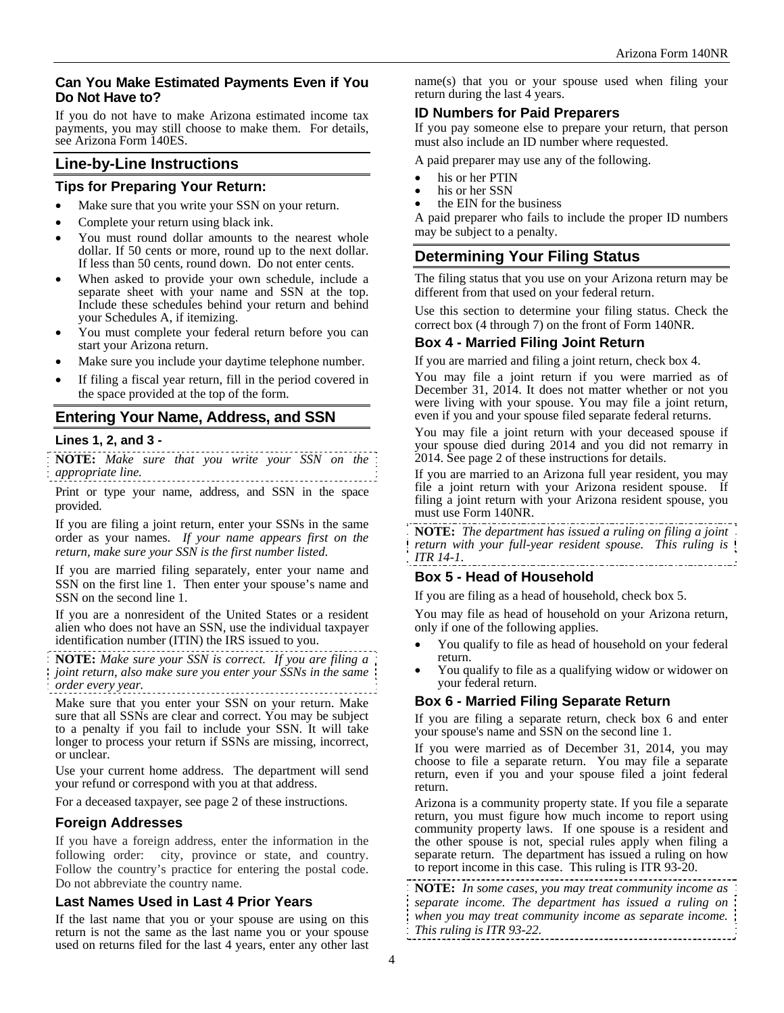## **Can You Make Estimated Payments Even if You Do Not Have to?**

If you do not have to make Arizona estimated income tax payments, you may still choose to make them. For details, see Arizona Form 140ES.

## **Line-by-Line Instructions**

#### **Tips for Preparing Your Return:**

- Make sure that you write your SSN on your return.
- Complete your return using black ink.
- You must round dollar amounts to the nearest whole dollar. If 50 cents or more, round up to the next dollar. If less than 50 cents, round down. Do not enter cents.
- When asked to provide your own schedule, include a separate sheet with your name and SSN at the top. Include these schedules behind your return and behind your Schedules A, if itemizing.
- You must complete your federal return before you can start your Arizona return.
- Make sure you include your daytime telephone number.
- If filing a fiscal year return, fill in the period covered in the space provided at the top of the form.

## **Entering Your Name, Address, and SSN**

#### **Lines 1, 2, and 3 -**

**NOTE:** *Make sure that you write your SSN on the appropriate line.*

Print or type your name, address, and SSN in the space provided.

If you are filing a joint return, enter your SSNs in the same order as your names. *If your name appears first on the return, make sure your SSN is the first number listed*.

If you are married filing separately, enter your name and SSN on the first line 1. Then enter your spouse's name and SSN on the second line 1.

If you are a nonresident of the United States or a resident alien who does not have an SSN, use the individual taxpayer identification number (ITIN) the IRS issued to you.

**NOTE:** *Make sure your SSN is correct. If you are filing a joint return, also make sure you enter your SSNs in the same order every year.* 

Make sure that you enter your SSN on your return. Make sure that all SSNs are clear and correct. You may be subject to a penalty if you fail to include your SSN. It will take longer to process your return if SSNs are missing, incorrect, or unclear.

Use your current home address. The department will send your refund or correspond with you at that address.

For a deceased taxpayer, see page 2 of these instructions.

## **Foreign Addresses**

If you have a foreign address, enter the information in the following order: city, province or state, and country. Follow the country's practice for entering the postal code. Do not abbreviate the country name.

#### **Last Names Used in Last 4 Prior Years**

If the last name that you or your spouse are using on this return is not the same as the last name you or your spouse used on returns filed for the last 4 years, enter any other last name(s) that you or your spouse used when filing your return during the last 4 years.

## **ID Numbers for Paid Preparers**

If you pay someone else to prepare your return, that person must also include an ID number where requested.

A paid preparer may use any of the following.

- 
- his or her PTIN<br>his or her SSN
- the EIN for the business

A paid preparer who fails to include the proper ID numbers may be subject to a penalty.

## **Determining Your Filing Status**

The filing status that you use on your Arizona return may be different from that used on your federal return.

Use this section to determine your filing status. Check the correct box (4 through 7) on the front of Form 140NR.

## **Box 4 - Married Filing Joint Return**

If you are married and filing a joint return, check box 4.

You may file a joint return if you were married as of December 31, 2014. It does not matter whether or not you were living with your spouse. You may file a joint return, even if you and your spouse filed separate federal returns.

You may file a joint return with your deceased spouse if your spouse died during 2014 and you did not remarry in 2014. See page 2 of these instructions for details.

If you are married to an Arizona full year resident, you may file a joint return with your Arizona resident spouse. If filing a joint return with your Arizona resident spouse, you must use Form 140NR.

**NOTE:** *The department has issued a ruling on filing a joint return with your full-year resident spouse. This ruling is ITR 14-1*.

## **Box 5 - Head of Household**

If you are filing as a head of household, check box 5.

You may file as head of household on your Arizona return, only if one of the following applies.

- You qualify to file as head of household on your federal return.<br>You qualify to file as a qualifying widow or widower on
- your federal return.

## **Box 6 - Married Filing Separate Return**

If you are filing a separate return, check box 6 and enter your spouse's name and SSN on the second line 1.

If you were married as of December 31, 2014, you may choose to file a separate return. You may file a separate return, even if you and your spouse filed a joint federal return.

Arizona is a community property state. If you file a separate return, you must figure how much income to report using community property laws. If one spouse is a resident and the other spouse is not, special rules apply when filing a separate return. The department has issued a ruling on how to report income in this case. This ruling is ITR 93-20.

**NOTE:** *In some cases, you may treat community income as separate income. The department has issued a ruling on when you may treat community income as separate income. This ruling is ITR 93-22.*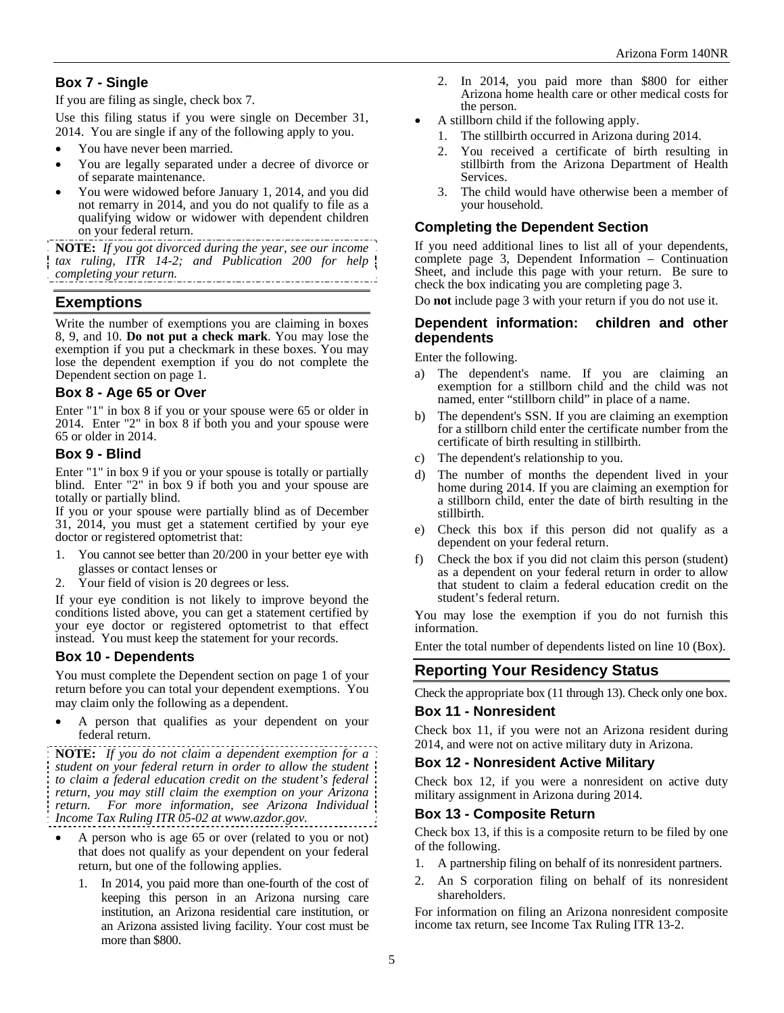## **Box 7 - Single**

If you are filing as single, check box 7.

Use this filing status if you were single on December 31, 2014. You are single if any of the following apply to you.

- You have never been married.
- You are legally separated under a decree of divorce or of separate maintenance.
- You were widowed before January 1, 2014, and you did not remarry in 2014, and you do not qualify to file as a qualifying widow or widower with dependent children on your federal return.

**NOTE:** *If you got divorced during the year, see our income tax ruling, ITR 14-2; and Publication 200 for help completing your return.* 

## **Exemptions**

Write the number of exemptions you are claiming in boxes 8, 9, and 10. **Do not put a check mark**. You may lose the exemption if you put a checkmark in these boxes. You may lose the dependent exemption if you do not complete the Dependent section on page 1.

#### **Box 8 - Age 65 or Over**

Enter "1" in box 8 if you or your spouse were 65 or older in 2014. Enter "2" in box 8 if both you and your spouse were 65 or older in 2014.

#### **Box 9 - Blind**

Enter "1" in box 9 if you or your spouse is totally or partially blind. Enter "2" in box 9 if both you and your spouse are totally or partially blind.

If you or your spouse were partially blind as of December 31, 2014, you must get a statement certified by your eye doctor or registered optometrist that:

- 1. You cannot see better than 20/200 in your better eye with glasses or contact lenses or
- 2. Your field of vision is 20 degrees or less.

If your eye condition is not likely to improve beyond the conditions listed above, you can get a statement certified by your eye doctor or registered optometrist to that effect instead. You must keep the statement for your records.

## **Box 10 - Dependents**

You must complete the Dependent section on page 1 of your return before you can total your dependent exemptions. You may claim only the following as a dependent.

 A person that qualifies as your dependent on your federal return.

**NOTE:** *If you do not claim a dependent exemption for a student on your federal return in order to allow the student to claim a federal education credit on the student's federal return, you may still claim the exemption on your Arizona return. For more information, see Arizona Individual Income Tax Ruling ITR 05-02 at www.azdor.gov.*

- A person who is age 65 or over (related to you or not) that does not qualify as your dependent on your federal return, but one of the following applies.
	- In 2014, you paid more than one-fourth of the cost of keeping this person in an Arizona nursing care institution, an Arizona residential care institution, or an Arizona assisted living facility. Your cost must be more than \$800.
- 2. In 2014, you paid more than \$800 for either Arizona home health care or other medical costs for the person.
- A stillborn child if the following apply.
	- 1. The stillbirth occurred in Arizona during 2014.
	- 2. You received a certificate of birth resulting in stillbirth from the Arizona Department of Health Services.
	- 3. The child would have otherwise been a member of your household.

## **Completing the Dependent Section**

If you need additional lines to list all of your dependents, complete page 3, Dependent Information – Continuation Sheet, and include this page with your return. Be sure to check the box indicating you are completing page 3.

Do **not** include page 3 with your return if you do not use it.

#### **Dependent information: children and other dependents**

Enter the following.

- a) The dependent's name. If you are claiming an exemption for a stillborn child and the child was not named, enter "stillborn child" in place of a name.
- b) The dependent's SSN. If you are claiming an exemption for a stillborn child enter the certificate number from the certificate of birth resulting in stillbirth.
- The dependent's relationship to you.
- d) The number of months the dependent lived in your home during 2014. If you are claiming an exemption for a stillborn child, enter the date of birth resulting in the stillbirth.
- e) Check this box if this person did not qualify as a dependent on your federal return.
- f) Check the box if you did not claim this person (student) as a dependent on your federal return in order to allow that student to claim a federal education credit on the student's federal return.

You may lose the exemption if you do not furnish this information.

Enter the total number of dependents listed on line 10 (Box).

## **Reporting Your Residency Status**

Check the appropriate box (11 through 13). Check only one box.

#### **Box 11 - Nonresident**

Check box 11, if you were not an Arizona resident during 2014, and were not on active military duty in Arizona.

#### **Box 12 - Nonresident Active Military**

Check box 12, if you were a nonresident on active duty military assignment in Arizona during 2014.

#### **Box 13 - Composite Return**

Check box 13, if this is a composite return to be filed by one of the following.

- 1. A partnership filing on behalf of its nonresident partners.
- 2. An S corporation filing on behalf of its nonresident shareholders.

For information on filing an Arizona nonresident composite income tax return, see Income Tax Ruling ITR 13-2.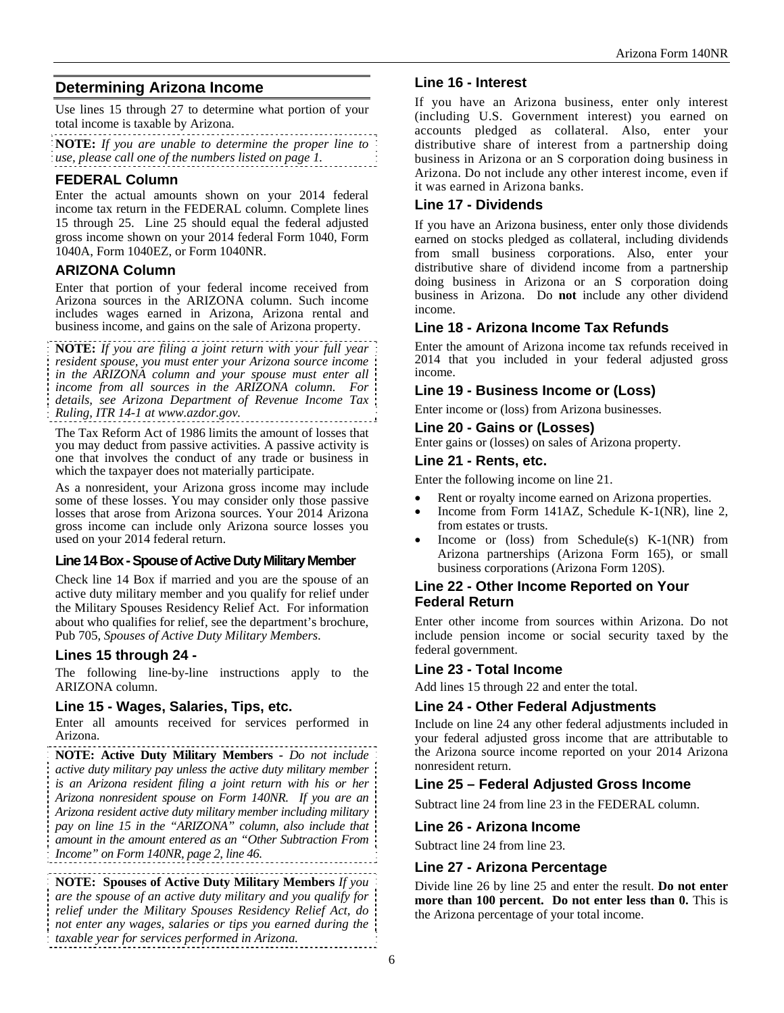# **Determining Arizona Income**

Use lines 15 through 27 to determine what portion of your total income is taxable by Arizona.

**NOTE:** *If you are unable to determine the proper line to use, please call one of the numbers listed on page 1.* 

## **FEDERAL Column**

Enter the actual amounts shown on your 2014 federal income tax return in the FEDERAL column. Complete lines 15 through 25. Line 25 should equal the federal adjusted gross income shown on your 2014 federal Form 1040, Form 1040A, Form 1040EZ, or Form 1040NR.

## **ARIZONA Column**

Enter that portion of your federal income received from Arizona sources in the ARIZONA column. Such income includes wages earned in Arizona, Arizona rental and business income, and gains on the sale of Arizona property.

**NOTE:** *If you are filing a joint return with your full year resident spouse, you must enter your Arizona source income in the ARIZONA column and your spouse must enter all income from all sources in the ARIZONA column. For details, see Arizona Department of Revenue Income Tax Ruling, ITR 14-1 at www.azdor.gov.*

The Tax Reform Act of 1986 limits the amount of losses that you may deduct from passive activities. A passive activity is one that involves the conduct of any trade or business in which the taxpayer does not materially participate.

As a nonresident, your Arizona gross income may include some of these losses. You may consider only those passive losses that arose from Arizona sources. Your 2014 Arizona gross income can include only Arizona source losses you used on your 2014 federal return.

## **Line 14 Box - Spouse of Active Duty Military Member**

Check line 14 Box if married and you are the spouse of an active duty military member and you qualify for relief under the Military Spouses Residency Relief Act. For information about who qualifies for relief, see the department's brochure, Pub 705, *Spouses of Active Duty Military Members*.

## **Lines 15 through 24 -**

The following line-by-line instructions apply to the ARIZONA column.

## **Line 15 - Wages, Salaries, Tips, etc.**

Enter all amounts received for services performed in Arizona.

**NOTE: Active Duty Military Members** *- Do not include active duty military pay unless the active duty military member is an Arizona resident filing a joint return with his or her Arizona nonresident spouse on Form 140NR. If you are an Arizona resident active duty military member including military pay on line 15 in the "ARIZONA" column, also include that amount in the amount entered as an "Other Subtraction From Income" on Form 140NR, page 2, line 46.* 

**NOTE: Spouses of Active Duty Military Members** *If you are the spouse of an active duty military and you qualify for relief under the Military Spouses Residency Relief Act, do not enter any wages, salaries or tips you earned during the taxable year for services performed in Arizona.*

# **Line 16 - Interest**

If you have an Arizona business, enter only interest (including U.S. Government interest) you earned on accounts pledged as collateral. Also, enter your distributive share of interest from a partnership doing business in Arizona or an S corporation doing business in Arizona. Do not include any other interest income, even if it was earned in Arizona banks.

## **Line 17 - Dividends**

If you have an Arizona business, enter only those dividends earned on stocks pledged as collateral, including dividends from small business corporations. Also, enter your distributive share of dividend income from a partnership doing business in Arizona or an S corporation doing business in Arizona. Do **not** include any other dividend income.

## **Line 18 - Arizona Income Tax Refunds**

Enter the amount of Arizona income tax refunds received in 2014 that you included in your federal adjusted gross income.

# **Line 19 - Business Income or (Loss)**

Enter income or (loss) from Arizona businesses.

#### **Line 20 - Gains or (Losses)**

Enter gains or (losses) on sales of Arizona property.

## **Line 21 - Rents, etc.**

Enter the following income on line 21.

- Rent or royalty income earned on Arizona properties.
- Income from Form 141AZ, Schedule K-1(NR), line 2, from estates or trusts.
- Income or (loss) from Schedule(s) K-1(NR) from Arizona partnerships (Arizona Form 165), or small business corporations (Arizona Form 120S).

#### **Line 22 - Other Income Reported on Your Federal Return**

Enter other income from sources within Arizona. Do not include pension income or social security taxed by the federal government.

## **Line 23 - Total Income**

Add lines 15 through 22 and enter the total.

## **Line 24 - Other Federal Adjustments**

Include on line 24 any other federal adjustments included in your federal adjusted gross income that are attributable to the Arizona source income reported on your 2014 Arizona nonresident return.

## **Line 25 – Federal Adjusted Gross Income**

Subtract line 24 from line 23 in the FEDERAL column.

## **Line 26 - Arizona Income**

Subtract line 24 from line 23.

## **Line 27 - Arizona Percentage**

Divide line 26 by line 25 and enter the result. **Do not enter more than 100 percent. Do not enter less than 0.** This is the Arizona percentage of your total income.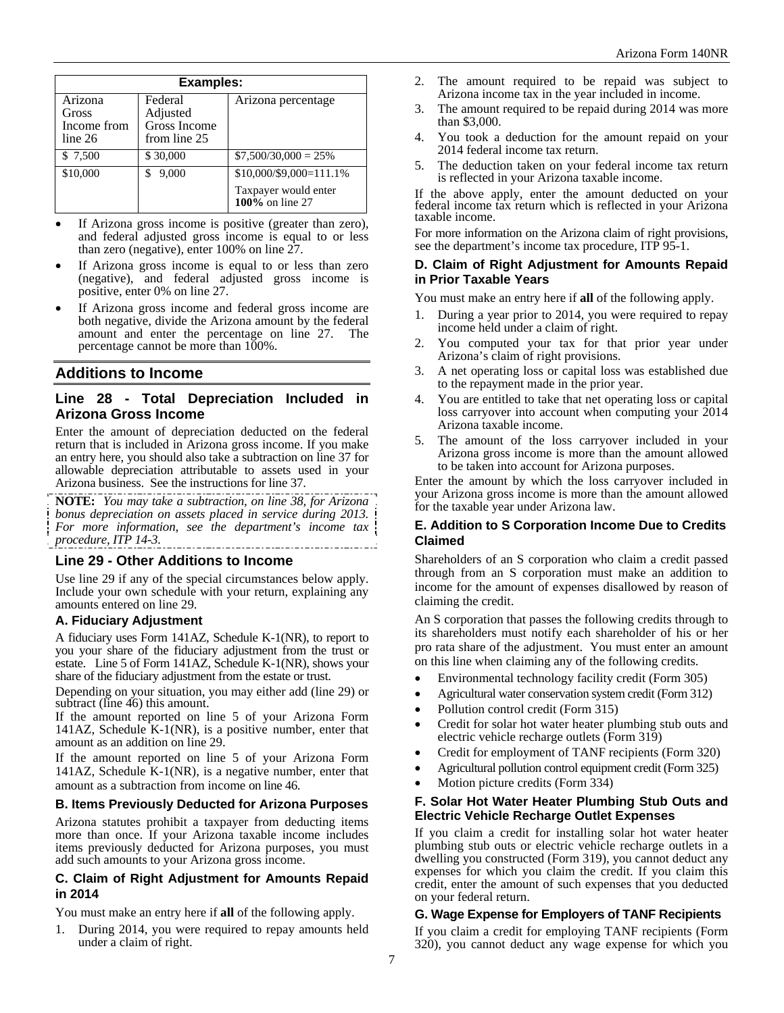| <b>Examples:</b>     |                          |                                         |  |  |
|----------------------|--------------------------|-----------------------------------------|--|--|
| Arizona              | Federal                  | Arizona percentage                      |  |  |
| Gross<br>Income from | Adjusted<br>Gross Income |                                         |  |  |
| line 26              | from line 25             |                                         |  |  |
| \$ 7,500             | \$30,000                 | $$7,500/30,000 = 25\%$                  |  |  |
| \$10,000             | 9,000<br>S               | $$10,000$ /\$9,000=111.1%               |  |  |
|                      |                          | Taxpayer would enter<br>100% on line 27 |  |  |

- If Arizona gross income is positive (greater than zero), and federal adjusted gross income is equal to or less than zero (negative), enter 100% on line 27.
- If Arizona gross income is equal to or less than zero (negative), and federal adjusted gross income is positive, enter 0% on line 27.
- If Arizona gross income and federal gross income are both negative, divide the Arizona amount by the federal amount and enter the percentage on line 27. The percentage cannot be more than 100%.

## **Additions to Income**

#### **Line 28 - Total Depreciation Included in Arizona Gross Income**

Enter the amount of depreciation deducted on the federal return that is included in Arizona gross income. If you make an entry here, you should also take a subtraction on line 37 for allowable depreciation attributable to assets used in your Arizona business. See the instructions for line 37.

**NOTE:** *You may take a subtraction, on line 38, for Arizona bonus depreciation on assets placed in service during 2013. For more information, see the department's income tax procedure, ITP 14-3.*  

#### **Line 29 - Other Additions to Income**

Use line 29 if any of the special circumstances below apply. Include your own schedule with your return, explaining any amounts entered on line 29.

## **A. Fiduciary Adjustment**

A fiduciary uses Form 141AZ, Schedule K-1(NR), to report to you your share of the fiduciary adjustment from the trust or estate. Line 5 of Form 141AZ, Schedule K-1(NR), shows your share of the fiduciary adjustment from the estate or trust.

Depending on your situation, you may either add (line 29) or subtract (line 46) this amount.

If the amount reported on line 5 of your Arizona Form 141AZ, Schedule K-1(NR), is a positive number, enter that amount as an addition on line 29.

If the amount reported on line 5 of your Arizona Form 141AZ, Schedule K-1(NR), is a negative number, enter that amount as a subtraction from income on line 46.

#### **B. Items Previously Deducted for Arizona Purposes**

Arizona statutes prohibit a taxpayer from deducting items more than once. If your Arizona taxable income includes items previously deducted for Arizona purposes, you must add such amounts to your Arizona gross income.

#### **C. Claim of Right Adjustment for Amounts Repaid in 2014**

You must make an entry here if **all** of the following apply.

1. During 2014, you were required to repay amounts held under a claim of right.

- 2. The amount required to be repaid was subject to Arizona income tax in the year included in income.
- 3. The amount required to be repaid during 2014 was more than \$3,000.
- 4. You took a deduction for the amount repaid on your 2014 federal income tax return.
- 5. The deduction taken on your federal income tax return is reflected in your Arizona taxable income.

If the above apply, enter the amount deducted on your federal income tax return which is reflected in your Arizona taxable income.

For more information on the Arizona claim of right provisions, see the department's income tax procedure, ITP 95-1.

#### **D. Claim of Right Adjustment for Amounts Repaid in Prior Taxable Years**

You must make an entry here if **all** of the following apply.

- 1. During a year prior to 2014, you were required to repay income held under a claim of right.
- 2. You computed your tax for that prior year under Arizona's claim of right provisions.
- 3. A net operating loss or capital loss was established due to the repayment made in the prior year.
- 4. You are entitled to take that net operating loss or capital loss carryover into account when computing your 2014 Arizona taxable income.
- 5. The amount of the loss carryover included in your Arizona gross income is more than the amount allowed to be taken into account for Arizona purposes.

Enter the amount by which the loss carryover included in your Arizona gross income is more than the amount allowed for the taxable year under Arizona law.

#### **E. Addition to S Corporation Income Due to Credits Claimed**

Shareholders of an S corporation who claim a credit passed through from an S corporation must make an addition to income for the amount of expenses disallowed by reason of claiming the credit.

An S corporation that passes the following credits through to its shareholders must notify each shareholder of his or her pro rata share of the adjustment. You must enter an amount on this line when claiming any of the following credits.

- Environmental technology facility credit (Form 305)
- Agricultural water conservation system credit (Form 312)
- Pollution control credit (Form 315)
- Credit for solar hot water heater plumbing stub outs and electric vehicle recharge outlets (Form 319)
- Credit for employment of TANF recipients (Form 320)
- Agricultural pollution control equipment credit (Form 325)
- Motion picture credits (Form 334)

#### **F. Solar Hot Water Heater Plumbing Stub Outs and Electric Vehicle Recharge Outlet Expenses**

If you claim a credit for installing solar hot water heater plumbing stub outs or electric vehicle recharge outlets in a dwelling you constructed (Form 319), you cannot deduct any expenses for which you claim the credit. If you claim this credit, enter the amount of such expenses that you deducted on your federal return.

#### **G. Wage Expense for Employers of TANF Recipients**

If you claim a credit for employing TANF recipients (Form 320), you cannot deduct any wage expense for which you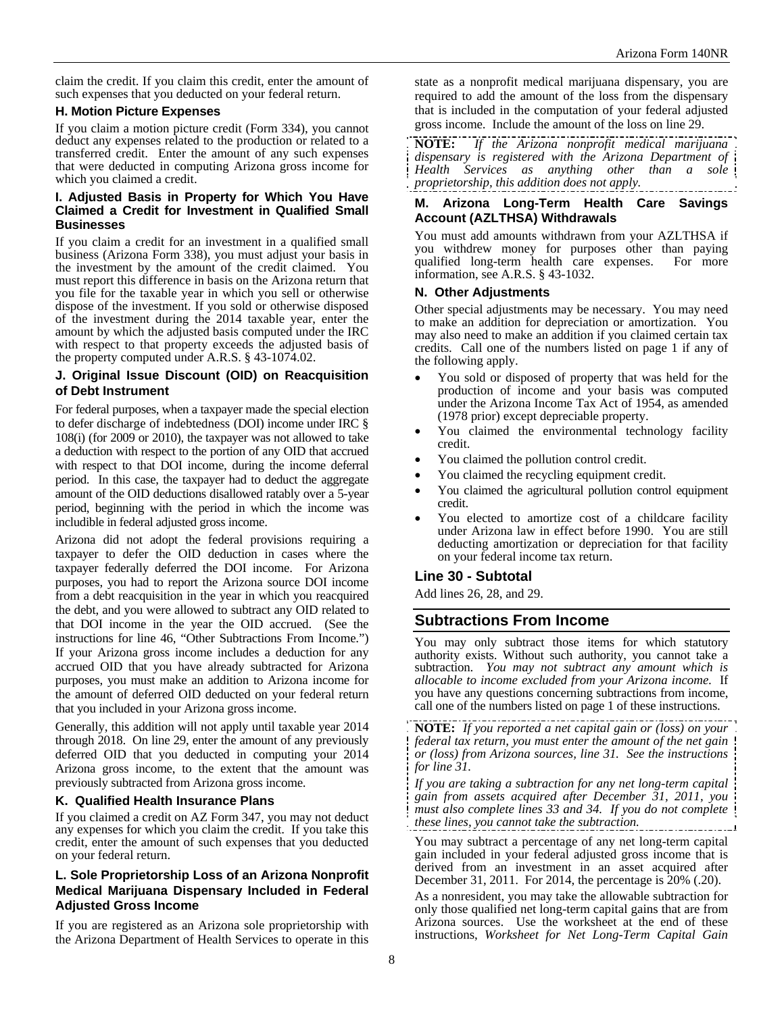claim the credit. If you claim this credit, enter the amount of such expenses that you deducted on your federal return.

#### **H. Motion Picture Expenses**

If you claim a motion picture credit (Form 334), you cannot deduct any expenses related to the production or related to a transferred credit. Enter the amount of any such expenses that were deducted in computing Arizona gross income for which you claimed a credit.

#### **I. Adjusted Basis in Property for Which You Have Claimed a Credit for Investment in Qualified Small Businesses**

If you claim a credit for an investment in a qualified small business (Arizona Form 338), you must adjust your basis in the investment by the amount of the credit claimed. You must report this difference in basis on the Arizona return that you file for the taxable year in which you sell or otherwise dispose of the investment. If you sold or otherwise disposed of the investment during the 2014 taxable year, enter the amount by which the adjusted basis computed under the IRC with respect to that property exceeds the adjusted basis of the property computed under A.R.S. § 43-1074.02.

#### **J. Original Issue Discount (OID) on Reacquisition of Debt Instrument**

For federal purposes, when a taxpayer made the special election to defer discharge of indebtedness (DOI) income under IRC § 108(i) (for 2009 or 2010), the taxpayer was not allowed to take a deduction with respect to the portion of any OID that accrued with respect to that DOI income, during the income deferral period. In this case, the taxpayer had to deduct the aggregate amount of the OID deductions disallowed ratably over a 5-year period, beginning with the period in which the income was includible in federal adjusted gross income.

Arizona did not adopt the federal provisions requiring a taxpayer to defer the OID deduction in cases where the taxpayer federally deferred the DOI income. For Arizona purposes, you had to report the Arizona source DOI income from a debt reacquisition in the year in which you reacquired the debt, and you were allowed to subtract any OID related to that DOI income in the year the OID accrued. (See the instructions for line 46, "Other Subtractions From Income.") If your Arizona gross income includes a deduction for any accrued OID that you have already subtracted for Arizona purposes, you must make an addition to Arizona income for the amount of deferred OID deducted on your federal return that you included in your Arizona gross income.

Generally, this addition will not apply until taxable year 2014 through 2018. On line 29, enter the amount of any previously deferred OID that you deducted in computing your 2014 Arizona gross income, to the extent that the amount was previously subtracted from Arizona gross income.

## **K. Qualified Health Insurance Plans**

If you claimed a credit on AZ Form 347, you may not deduct any expenses for which you claim the credit. If you take this credit, enter the amount of such expenses that you deducted on your federal return.

#### **L. Sole Proprietorship Loss of an Arizona Nonprofit Medical Marijuana Dispensary Included in Federal Adjusted Gross Income**

If you are registered as an Arizona sole proprietorship with the Arizona Department of Health Services to operate in this state as a nonprofit medical marijuana dispensary, you are required to add the amount of the loss from the dispensary that is included in the computation of your federal adjusted gross income. Include the amount of the loss on line 29.

**NOTE:** *If the Arizona nonprofit medical marijuana dispensary is registered with the Arizona Department of Health Services as anything other than a sole proprietorship, this addition does not apply.* 

#### **M. Arizona Long-Term Health Care Savings Account (AZLTHSA) Withdrawals**

You must add amounts withdrawn from your AZLTHSA if you withdrew money for purposes other than paying qualified long-term health care expenses. For more information, see A.R.S. § 43-1032.

#### **N. Other Adjustments**

Other special adjustments may be necessary. You may need to make an addition for depreciation or amortization. You may also need to make an addition if you claimed certain tax credits. Call one of the numbers listed on page 1 if any of the following apply.

- You sold or disposed of property that was held for the production of income and your basis was computed under the Arizona Income Tax Act of 1954, as amended (1978 prior) except depreciable property.
- You claimed the environmental technology facility credit.
- You claimed the pollution control credit.
- You claimed the recycling equipment credit.
- You claimed the agricultural pollution control equipment credit.
- You elected to amortize cost of a childcare facility under Arizona law in effect before 1990. You are still deducting amortization or depreciation for that facility on your federal income tax return.

## **Line 30 - Subtotal**

Add lines 26, 28, and 29.

## **Subtractions From Income**

You may only subtract those items for which statutory authority exists. Without such authority, you cannot take a subtraction. *You may not subtract any amount which is allocable to income excluded from your Arizona income.* If you have any questions concerning subtractions from income, call one of the numbers listed on page 1 of these instructions.

**NOTE:** *If you reported a net capital gain or (loss) on your federal tax return, you must enter the amount of the net gain or (loss) from Arizona sources, line 31. See the instructions for line 31.* 

*If you are taking a subtraction for any net long-term capital gain from assets acquired after December 31, 2011, you must also complete lines 33 and 34. If you do not complete these lines, you cannot take the subtraction.* 

You may subtract a percentage of any net long-term capital gain included in your federal adjusted gross income that is derived from an investment in an asset acquired after December 31, 2011. For 2014, the percentage is 20% (.20).

As a nonresident, you may take the allowable subtraction for only those qualified net long-term capital gains that are from Arizona sources. Use the worksheet at the end of these instructions, *Worksheet for Net Long-Term Capital Gain*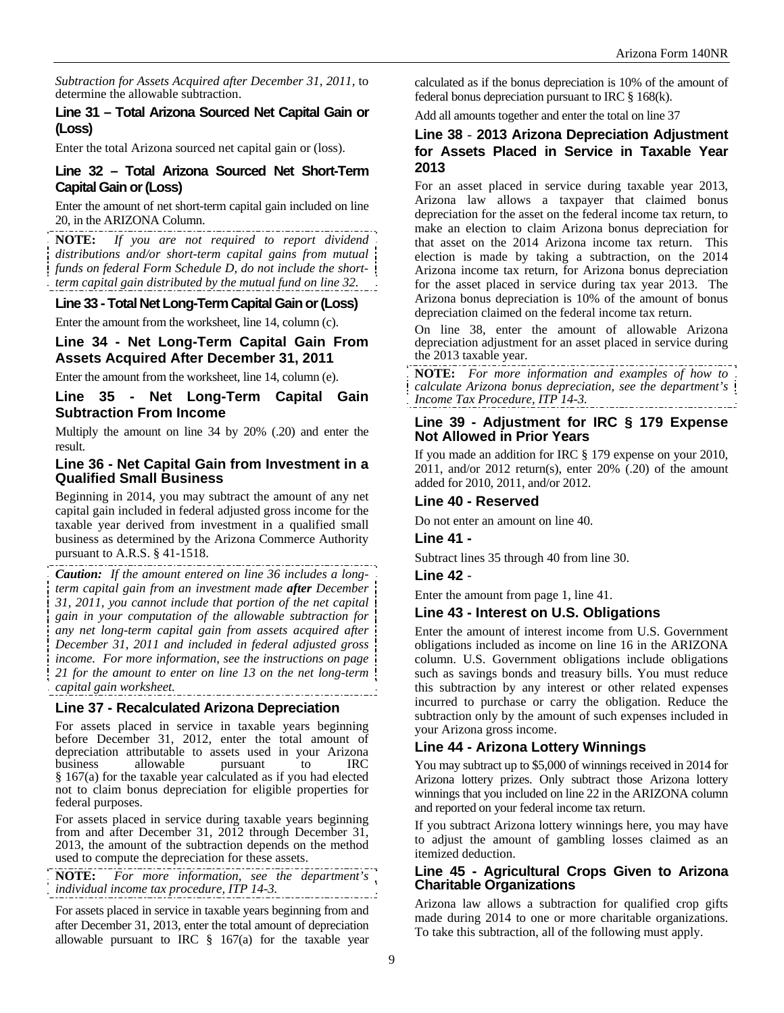*Subtraction for Assets Acquired after December 31, 2011,* to determine the allowable subtraction.

## **Line 31 – Total Arizona Sourced Net Capital Gain or (Loss)**

Enter the total Arizona sourced net capital gain or (loss).

## **Line 32 – Total Arizona Sourced Net Short-Term Capital Gain or (Loss)**

Enter the amount of net short-term capital gain included on line 20, in the ARIZONA Column.

**NOTE:** *If you are not required to report dividend distributions and/or short-term capital gains from mutual funds on federal Form Schedule D, do not include the shortterm capital gain distributed by the mutual fund on line 32.* 

#### **Line 33 - Total Net Long-Term Capital Gain or (Loss)**

Enter the amount from the worksheet, line 14, column (c).

#### **Line 34 - Net Long-Term Capital Gain From Assets Acquired After December 31, 2011**

Enter the amount from the worksheet, line 14, column (e).

#### **Line 35 - Net Long-Term Capital Gain Subtraction From Income**

Multiply the amount on line 34 by 20% (.20) and enter the result.

#### **Line 36 - Net Capital Gain from Investment in a Qualified Small Business**

Beginning in 2014, you may subtract the amount of any net capital gain included in federal adjusted gross income for the taxable year derived from investment in a qualified small business as determined by the Arizona Commerce Authority pursuant to A.R.S. § 41-1518.

*Caution: If the amount entered on line 36 includes a longterm capital gain from an investment made after December 31, 2011, you cannot include that portion of the net capital gain in your computation of the allowable subtraction for any net long-term capital gain from assets acquired after December 31, 2011 and included in federal adjusted gross income. For more information, see the instructions on page 21 for the amount to enter on line 13 on the net long-term capital gain worksheet.* 

## **Line 37 - Recalculated Arizona Depreciation**

For assets placed in service in taxable years beginning before December 31, 2012, enter the total amount of depreciation attributable to assets used in your Arizona business allowable pursuant to § 167(a) for the taxable year calculated as if you had elected not to claim bonus depreciation for eligible properties for federal purposes.

For assets placed in service during taxable years beginning from and after December 31, 2012 through December 31, 2013, the amount of the subtraction depends on the method used to compute the depreciation for these assets.

**NOTE:** *For more information, see the department's individual income tax procedure, ITP 14-3.* 

For assets placed in service in taxable years beginning from and after December 31, 2013, enter the total amount of depreciation allowable pursuant to IRC § 167(a) for the taxable year

calculated as if the bonus depreciation is 10% of the amount of federal bonus depreciation pursuant to IRC § 168(k).

Add all amounts together and enter the total on line 37

## **Line 38** - **2013 Arizona Depreciation Adjustment for Assets Placed in Service in Taxable Year 2013**

For an asset placed in service during taxable year 2013, Arizona law allows a taxpayer that claimed bonus depreciation for the asset on the federal income tax return, to make an election to claim Arizona bonus depreciation for that asset on the 2014 Arizona income tax return. This election is made by taking a subtraction, on the 2014 Arizona income tax return, for Arizona bonus depreciation for the asset placed in service during tax year 2013. The Arizona bonus depreciation is 10% of the amount of bonus depreciation claimed on the federal income tax return.

On line 38, enter the amount of allowable Arizona depreciation adjustment for an asset placed in service during the 2013 taxable year.

**NOTE:** *For more information and examples of how to calculate Arizona bonus depreciation, see the department's Income Tax Procedure, ITP 14-3.* 

## **Line 39 - Adjustment for IRC § 179 Expense Not Allowed in Prior Years**

If you made an addition for IRC § 179 expense on your 2010,  $2011$ , and/or  $2012$  return(s), enter  $20\%$  (.20) of the amount added for 2010, 2011, and/or 2012.

#### **Line 40 - Reserved**

Do not enter an amount on line 40.

## **Line 41 -**

Subtract lines 35 through 40 from line 30.

#### **Line 42** -

Enter the amount from page 1, line 41.

#### **Line 43 - Interest on U.S. Obligations**

Enter the amount of interest income from U.S. Government obligations included as income on line 16 in the ARIZONA column. U.S. Government obligations include obligations such as savings bonds and treasury bills. You must reduce this subtraction by any interest or other related expenses incurred to purchase or carry the obligation. Reduce the subtraction only by the amount of such expenses included in your Arizona gross income.

## **Line 44 - Arizona Lottery Winnings**

You may subtract up to \$5,000 of winnings received in 2014 for Arizona lottery prizes. Only subtract those Arizona lottery winnings that you included on line 22 in the ARIZONA column and reported on your federal income tax return.

If you subtract Arizona lottery winnings here, you may have to adjust the amount of gambling losses claimed as an itemized deduction.

#### **Line 45 - Agricultural Crops Given to Arizona Charitable Organizations**

Arizona law allows a subtraction for qualified crop gifts made during 2014 to one or more charitable organizations. To take this subtraction, all of the following must apply.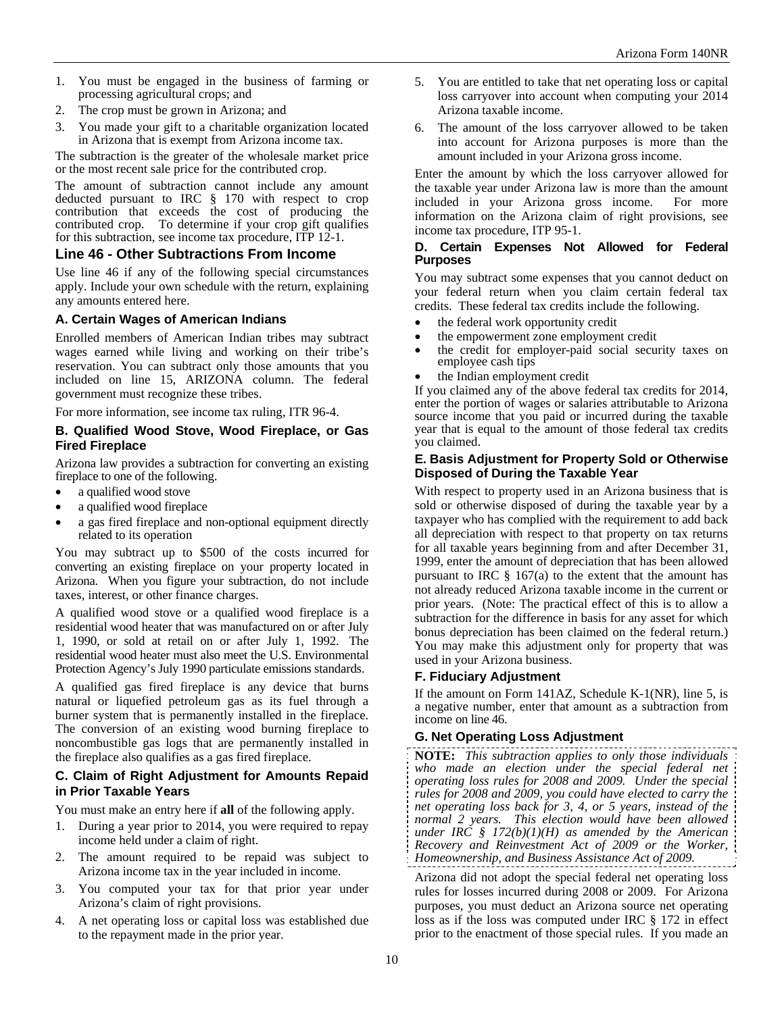- 1. You must be engaged in the business of farming or processing agricultural crops; and
- 2. The crop must be grown in Arizona; and
- 3. You made your gift to a charitable organization located in Arizona that is exempt from Arizona income tax.

The subtraction is the greater of the wholesale market price or the most recent sale price for the contributed crop.

The amount of subtraction cannot include any amount deducted pursuant to IRC § 170 with respect to crop contribution that exceeds the cost of producing the contributed crop. To determine if your crop gift qualifies for this subtraction, see income tax procedure, ITP 12-1.

## **Line 46 - Other Subtractions From Income**

Use line 46 if any of the following special circumstances apply. Include your own schedule with the return, explaining any amounts entered here.

#### **A. Certain Wages of American Indians**

Enrolled members of American Indian tribes may subtract wages earned while living and working on their tribe's reservation. You can subtract only those amounts that you included on line 15, ARIZONA column. The federal government must recognize these tribes.

For more information, see income tax ruling, ITR 96-4.

#### **B. Qualified Wood Stove, Wood Fireplace, or Gas Fired Fireplace**

Arizona law provides a subtraction for converting an existing fireplace to one of the following.

- a qualified wood stove
- a qualified wood fireplace
- a gas fired fireplace and non-optional equipment directly related to its operation

You may subtract up to \$500 of the costs incurred for converting an existing fireplace on your property located in Arizona. When you figure your subtraction, do not include taxes, interest, or other finance charges.

A qualified wood stove or a qualified wood fireplace is a residential wood heater that was manufactured on or after July 1, 1990, or sold at retail on or after July 1, 1992. The residential wood heater must also meet the U.S. Environmental Protection Agency's July 1990 particulate emissions standards.

A qualified gas fired fireplace is any device that burns natural or liquefied petroleum gas as its fuel through a burner system that is permanently installed in the fireplace. The conversion of an existing wood burning fireplace to noncombustible gas logs that are permanently installed in the fireplace also qualifies as a gas fired fireplace.

## **C. Claim of Right Adjustment for Amounts Repaid in Prior Taxable Years**

You must make an entry here if **all** of the following apply.

- 1. During a year prior to 2014, you were required to repay income held under a claim of right.
- 2. The amount required to be repaid was subject to Arizona income tax in the year included in income.
- 3. You computed your tax for that prior year under Arizona's claim of right provisions.
- 4. A net operating loss or capital loss was established due to the repayment made in the prior year.
- 5. You are entitled to take that net operating loss or capital loss carryover into account when computing your 2014 Arizona taxable income.
- 6. The amount of the loss carryover allowed to be taken into account for Arizona purposes is more than the amount included in your Arizona gross income.

Enter the amount by which the loss carryover allowed for the taxable year under Arizona law is more than the amount included in your Arizona gross income. For more information on the Arizona claim of right provisions, see income tax procedure, ITP 95-1.

#### **D. Certain Expenses Not Allowed for Federal Purposes**

You may subtract some expenses that you cannot deduct on your federal return when you claim certain federal tax credits. These federal tax credits include the following.

- the federal work opportunity credit
- the empowerment zone employment credit
- the credit for employer-paid social security taxes on employee cash tips
- the Indian employment credit

If you claimed any of the above federal tax credits for 2014, enter the portion of wages or salaries attributable to Arizona source income that you paid or incurred during the taxable year that is equal to the amount of those federal tax credits you claimed.

#### **E. Basis Adjustment for Property Sold or Otherwise Disposed of During the Taxable Year**

With respect to property used in an Arizona business that is sold or otherwise disposed of during the taxable year by a taxpayer who has complied with the requirement to add back all depreciation with respect to that property on tax returns for all taxable years beginning from and after December 31, 1999, enter the amount of depreciation that has been allowed pursuant to IRC  $\S$  167(a) to the extent that the amount has not already reduced Arizona taxable income in the current or prior years. (Note: The practical effect of this is to allow a subtraction for the difference in basis for any asset for which bonus depreciation has been claimed on the federal return.) You may make this adjustment only for property that was used in your Arizona business.

## **F. Fiduciary Adjustment**

If the amount on Form 141AZ, Schedule K-1(NR), line 5, is a negative number, enter that amount as a subtraction from income on line 46.

## **G. Net Operating Loss Adjustment**

**NOTE:** *This subtraction applies to only those individuals who made an election under the special federal net operating loss rules for 2008 and 2009. Under the special rules for 2008 and 2009, you could have elected to carry the net operating loss back for 3, 4, or 5 years, instead of the normal 2 years. This election would have been allowed under IRC § 172(b)(1)(H) as amended by the American Recovery and Reinvestment Act of 2009 or the Worker, Homeownership, and Business Assistance Act of 2009.* 

Arizona did not adopt the special federal net operating loss rules for losses incurred during 2008 or 2009. For Arizona purposes, you must deduct an Arizona source net operating loss as if the loss was computed under IRC § 172 in effect prior to the enactment of those special rules. If you made an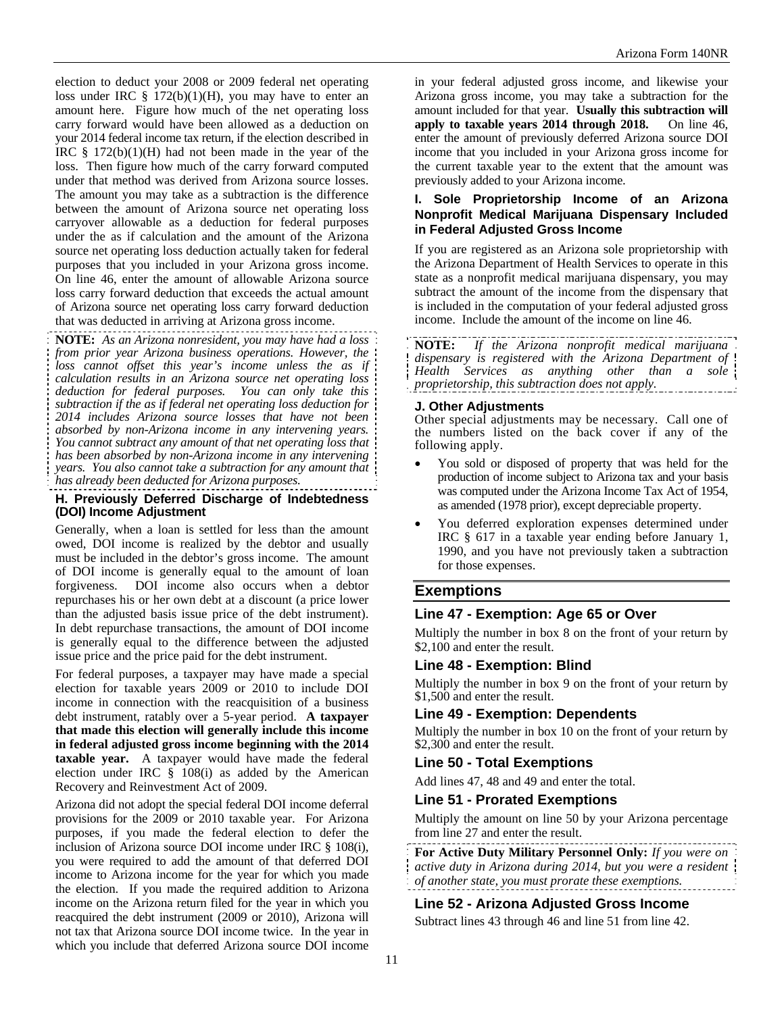election to deduct your 2008 or 2009 federal net operating loss under IRC  $\S$  172(b)(1)(H), you may have to enter an amount here. Figure how much of the net operating loss carry forward would have been allowed as a deduction on your 2014 federal income tax return, if the election described in IRC  $\S$  172(b)(1)(H) had not been made in the year of the loss. Then figure how much of the carry forward computed under that method was derived from Arizona source losses. The amount you may take as a subtraction is the difference between the amount of Arizona source net operating loss carryover allowable as a deduction for federal purposes under the as if calculation and the amount of the Arizona source net operating loss deduction actually taken for federal purposes that you included in your Arizona gross income. On line 46, enter the amount of allowable Arizona source loss carry forward deduction that exceeds the actual amount of Arizona source net operating loss carry forward deduction that was deducted in arriving at Arizona gross income.

**NOTE:** *As an Arizona nonresident, you may have had a loss from prior year Arizona business operations. However, the loss cannot offset this year's income unless the as if calculation results in an Arizona source net operating loss deduction for federal purposes. You can only take this subtraction if the as if federal net operating loss deduction for 2014 includes Arizona source losses that have not been absorbed by non-Arizona income in any intervening years. You cannot subtract any amount of that net operating loss that has been absorbed by non-Arizona income in any intervening years. You also cannot take a subtraction for any amount that has already been deducted for Arizona purposes.* 

#### **H. Previously Deferred Discharge of Indebtedness (DOI) Income Adjustment**

Generally, when a loan is settled for less than the amount owed, DOI income is realized by the debtor and usually must be included in the debtor's gross income. The amount of DOI income is generally equal to the amount of loan forgiveness. DOI income also occurs when a debtor repurchases his or her own debt at a discount (a price lower than the adjusted basis issue price of the debt instrument). In debt repurchase transactions, the amount of DOI income is generally equal to the difference between the adjusted issue price and the price paid for the debt instrument.

For federal purposes, a taxpayer may have made a special election for taxable years 2009 or 2010 to include DOI income in connection with the reacquisition of a business debt instrument, ratably over a 5-year period. **A taxpayer that made this election will generally include this income in federal adjusted gross income beginning with the 2014 taxable year.** A taxpayer would have made the federal election under IRC  $\S$  108(i) as added by the American Recovery and Reinvestment Act of 2009.

Arizona did not adopt the special federal DOI income deferral provisions for the 2009 or 2010 taxable year. For Arizona purposes, if you made the federal election to defer the inclusion of Arizona source DOI income under IRC § 108(i), you were required to add the amount of that deferred DOI income to Arizona income for the year for which you made the election. If you made the required addition to Arizona income on the Arizona return filed for the year in which you reacquired the debt instrument (2009 or 2010), Arizona will not tax that Arizona source DOI income twice. In the year in which you include that deferred Arizona source DOI income

in your federal adjusted gross income, and likewise your Arizona gross income, you may take a subtraction for the amount included for that year. **Usually this subtraction will apply to taxable years 2014 through 2018.** On line 46, enter the amount of previously deferred Arizona source DOI income that you included in your Arizona gross income for the current taxable year to the extent that the amount was previously added to your Arizona income.

#### **I. Sole Proprietorship Income of an Arizona Nonprofit Medical Marijuana Dispensary Included in Federal Adjusted Gross Income**

If you are registered as an Arizona sole proprietorship with the Arizona Department of Health Services to operate in this state as a nonprofit medical marijuana dispensary, you may subtract the amount of the income from the dispensary that is included in the computation of your federal adjusted gross income. Include the amount of the income on line 46.

**NOTE:** *If the Arizona nonprofit medical marijuana dispensary is registered with the Arizona Department of Health Services as anything other than a sole proprietorship, this subtraction does not apply.*

#### **J. Other Adjustments**

Other special adjustments may be necessary. Call one of the numbers listed on the back cover if any of the following apply.

- You sold or disposed of property that was held for the production of income subject to Arizona tax and your basis was computed under the Arizona Income Tax Act of 1954, as amended (1978 prior), except depreciable property.
- You deferred exploration expenses determined under IRC § 617 in a taxable year ending before January 1, 1990, and you have not previously taken a subtraction for those expenses.

## **Exemptions**

## **Line 47 - Exemption: Age 65 or Over**

Multiply the number in box 8 on the front of your return by \$2,100 and enter the result.

## **Line 48 - Exemption: Blind**

Multiply the number in box 9 on the front of your return by \$1,500 and enter the result.

#### **Line 49 - Exemption: Dependents**

Multiply the number in box 10 on the front of your return by \$2,300 and enter the result.

#### **Line 50 - Total Exemptions**

Add lines 47, 48 and 49 and enter the total.

#### **Line 51 - Prorated Exemptions**

Multiply the amount on line 50 by your Arizona percentage from line 27 and enter the result.

**For Active Duty Military Personnel Only:** *If you were on active duty in Arizona during 2014, but you were a resident of another state, you must prorate these exemptions.* 

#### **Line 52 - Arizona Adjusted Gross Income**

Subtract lines 43 through 46 and line 51 from line 42.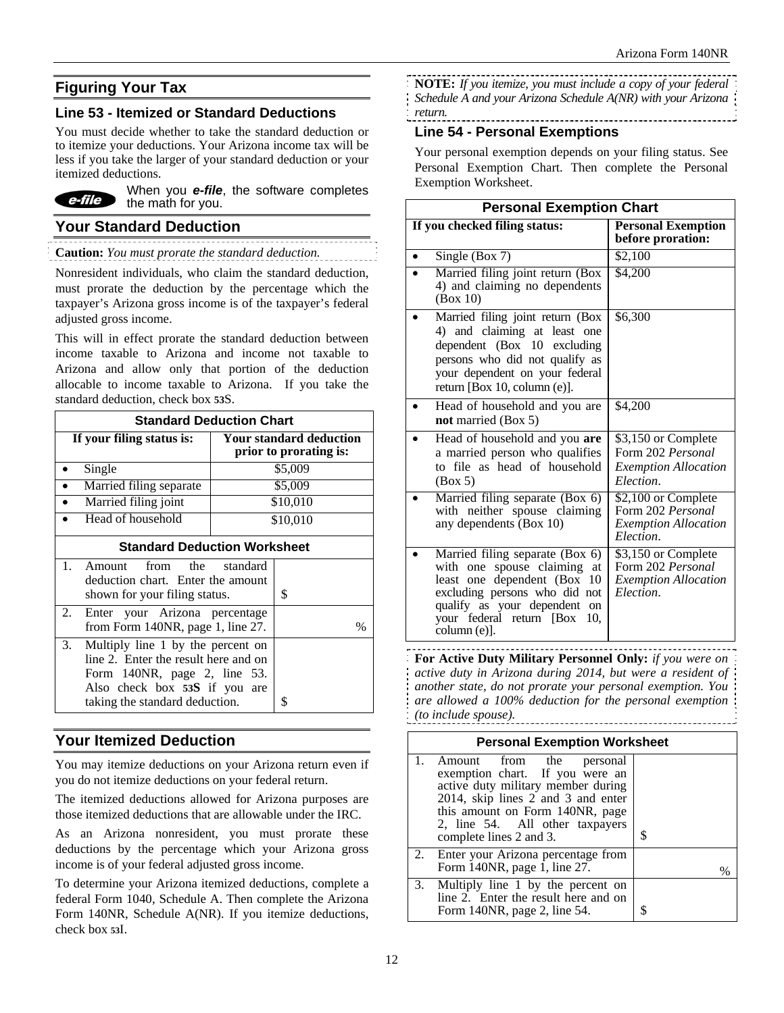# **Figuring Your Tax**

## **Line 53 - Itemized or Standard Deductions**

You must decide whether to take the standard deduction or to itemize your deductions. Your Arizona income tax will be less if you take the larger of your standard deduction or your itemized deductions.



When you *e-file*, the software completes the math for you.

## **Your Standard Deduction**

**Caution:** *You must prorate the standard deduction.* 

Nonresident individuals, who claim the standard deduction, must prorate the deduction by the percentage which the taxpayer's Arizona gross income is of the taxpayer's federal adjusted gross income.

This will in effect prorate the standard deduction between income taxable to Arizona and income not taxable to Arizona and allow only that portion of the deduction allocable to income taxable to Arizona. If you take the standard deduction, check box **53**S.

| <b>Standard Deduction Chart</b>                                                                                                                                                       |                                                          |  |  |  |
|---------------------------------------------------------------------------------------------------------------------------------------------------------------------------------------|----------------------------------------------------------|--|--|--|
| If your filing status is:                                                                                                                                                             | <b>Your standard deduction</b><br>prior to prorating is: |  |  |  |
| Single                                                                                                                                                                                | \$5,009                                                  |  |  |  |
| Married filing separate                                                                                                                                                               | \$5,009                                                  |  |  |  |
| Married filing joint                                                                                                                                                                  | \$10,010                                                 |  |  |  |
| Head of household                                                                                                                                                                     | \$10,010                                                 |  |  |  |
| <b>Standard Deduction Worksheet</b>                                                                                                                                                   |                                                          |  |  |  |
| $1_{-}$<br>Amount from the standard<br>deduction chart. Enter the amount<br>shown for your filing status.                                                                             | \$                                                       |  |  |  |
| 2.<br>Enter your Arizona percentage<br>from Form 140NR, page 1, line 27.                                                                                                              | $\%$                                                     |  |  |  |
| 3.<br>Multiply line 1 by the percent on<br>line 2. Enter the result here and on<br>Form $140NR$ , page 2, line 53.<br>Also check box 53S if you are<br>taking the standard deduction. | \$                                                       |  |  |  |

# **Your Itemized Deduction**

You may itemize deductions on your Arizona return even if you do not itemize deductions on your federal return.

The itemized deductions allowed for Arizona purposes are those itemized deductions that are allowable under the IRC.

As an Arizona nonresident, you must prorate these deductions by the percentage which your Arizona gross income is of your federal adjusted gross income.

To determine your Arizona itemized deductions, complete a federal Form 1040, Schedule A. Then complete the Arizona Form 140NR, Schedule A(NR). If you itemize deductions, check box **53**I.

- **NOTE:** *If you itemize, you must include a copy of your federal*
- *Schedule A and your Arizona Schedule A(NR) with your Arizona*
- *return.*  -----------------------

## **Line 54 - Personal Exemptions**

Your personal exemption depends on your filing status. See Personal Exemption Chart. Then complete the Personal Exemption Worksheet.

| <b>Personal Exemption Chart</b>                                                                                                                                                                                         |                                                                                               |  |  |
|-------------------------------------------------------------------------------------------------------------------------------------------------------------------------------------------------------------------------|-----------------------------------------------------------------------------------------------|--|--|
| If you checked filing status:                                                                                                                                                                                           | <b>Personal Exemption</b><br>before proration:                                                |  |  |
| Single (Box 7)                                                                                                                                                                                                          | \$2,100                                                                                       |  |  |
| Married filing joint return (Box<br>4) and claiming no dependents<br>(Box 10)                                                                                                                                           | \$4,200                                                                                       |  |  |
| Married filing joint return (Box<br>4) and claiming at least one<br>dependent (Box 10 excluding<br>persons who did not qualify as<br>your dependent on your federal<br>return [Box 10, column (e)].                     | \$6,300                                                                                       |  |  |
| Head of household and you are<br>not married (Box 5)                                                                                                                                                                    | \$4,200                                                                                       |  |  |
| Head of household and you are<br>a married person who qualifies<br>to file as head of household<br>(Box 5)                                                                                                              | \$3,150 or Complete<br>Form 202 Personal<br><b>Exemption Allocation</b><br>Election.          |  |  |
| Married filing separate (Box 6)<br>with neither spouse claiming<br>any dependents (Box 10)                                                                                                                              | $\sqrt{$2,100}$$ or Complete<br>Form 202 Personal<br><b>Exemption Allocation</b><br>Election. |  |  |
| Married filing separate (Box 6)<br>with one spouse claiming<br>at<br>least one dependent (Box<br>10<br>excluding persons who did not<br>qualify as your dependent on<br>your federal return [Box<br>10.<br>column (e)]. | \$3,150 or Complete<br>Form 202 Personal<br><i><b>Exemption Allocation</b></i><br>Election.   |  |  |

**For Active Duty Military Personnel Only:** *if you were on active duty in Arizona during 2014, but were a resident of another state, do not prorate your personal exemption. You are allowed a 100% deduction for the personal exemption (to include spouse).* 

| <b>Personal Exemption Worksheet</b> |                                                                                                                                                                                                                                             |  |  |  |  |
|-------------------------------------|---------------------------------------------------------------------------------------------------------------------------------------------------------------------------------------------------------------------------------------------|--|--|--|--|
|                                     | Amount from the<br>personal<br>exemption chart. If you were an<br>active duty military member during<br>2014, skip lines 2 and 3 and enter<br>this amount on Form 140NR, page<br>2, line 54. All other taxpayers<br>complete lines 2 and 3. |  |  |  |  |
|                                     | 2. Enter your Arizona percentage from<br>Form 140NR, page 1, line 27.                                                                                                                                                                       |  |  |  |  |
|                                     | $\overline{3}$ . Multiply line 1 by the percent on<br>line 2. Enter the result here and on<br>Form 140NR, page 2, line 54.                                                                                                                  |  |  |  |  |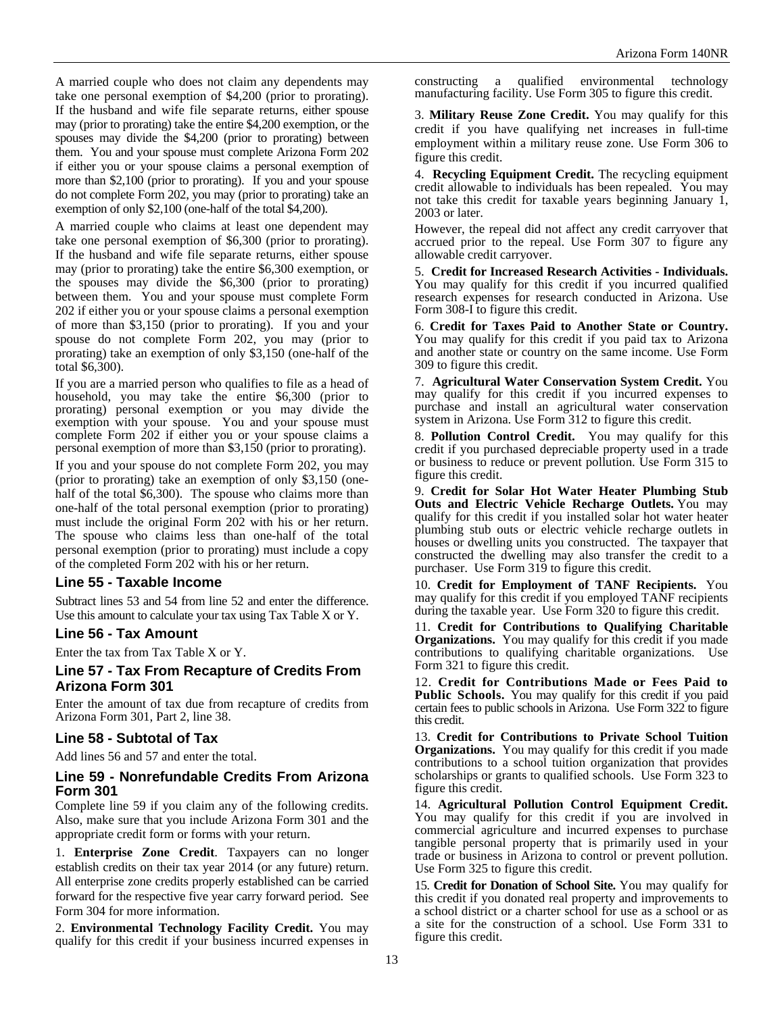A married couple who does not claim any dependents may take one personal exemption of \$4,200 (prior to prorating). If the husband and wife file separate returns, either spouse may (prior to prorating) take the entire \$4,200 exemption, or the spouses may divide the \$4,200 (prior to prorating) between them. You and your spouse must complete Arizona Form 202 if either you or your spouse claims a personal exemption of more than \$2,100 (prior to prorating). If you and your spouse do not complete Form 202, you may (prior to prorating) take an exemption of only \$2,100 (one-half of the total \$4,200).

A married couple who claims at least one dependent may take one personal exemption of \$6,300 (prior to prorating). If the husband and wife file separate returns, either spouse may (prior to prorating) take the entire \$6,300 exemption, or the spouses may divide the \$6,300 (prior to prorating) between them. You and your spouse must complete Form 202 if either you or your spouse claims a personal exemption of more than \$3,150 (prior to prorating). If you and your spouse do not complete Form 202, you may (prior to prorating) take an exemption of only \$3,150 (one-half of the total \$6,300).

If you are a married person who qualifies to file as a head of household, you may take the entire \$6,300 (prior to prorating) personal exemption or you may divide the exemption with your spouse. You and your spouse must complete Form 202 if either you or your spouse claims a personal exemption of more than \$3,150 (prior to prorating).

If you and your spouse do not complete Form 202, you may (prior to prorating) take an exemption of only \$3,150 (onehalf of the total \$6,300). The spouse who claims more than one-half of the total personal exemption (prior to prorating) must include the original Form 202 with his or her return. The spouse who claims less than one-half of the total personal exemption (prior to prorating) must include a copy of the completed Form 202 with his or her return.

## **Line 55 - Taxable Income**

Subtract lines 53 and 54 from line 52 and enter the difference. Use this amount to calculate your tax using Tax Table X or Y.

## **Line 56 - Tax Amount**

Enter the tax from Tax Table X or Y.

#### **Line 57 - Tax From Recapture of Credits From Arizona Form 301**

Enter the amount of tax due from recapture of credits from Arizona Form 301, Part 2, line 38.

## **Line 58 - Subtotal of Tax**

Add lines 56 and 57 and enter the total.

#### **Line 59 - Nonrefundable Credits From Arizona Form 301**

Complete line 59 if you claim any of the following credits. Also, make sure that you include Arizona Form 301 and the appropriate credit form or forms with your return.

1. **Enterprise Zone Credit**. Taxpayers can no longer establish credits on their tax year 2014 (or any future) return. All enterprise zone credits properly established can be carried forward for the respective five year carry forward period. See Form 304 for more information.

2. **Environmental Technology Facility Credit.** You may qualify for this credit if your business incurred expenses in constructing a qualified environmental technology manufacturing facility. Use Form 305 to figure this credit.

3. **Military Reuse Zone Credit.** You may qualify for this credit if you have qualifying net increases in full-time employment within a military reuse zone. Use Form 306 to figure this credit.

4. **Recycling Equipment Credit.** The recycling equipment credit allowable to individuals has been repealed. You may not take this credit for taxable years beginning January 1, 2003 or later.

However, the repeal did not affect any credit carryover that accrued prior to the repeal. Use Form 307 to figure any allowable credit carryover.

5. **Credit for Increased Research Activities - Individuals.** You may qualify for this credit if you incurred qualified research expenses for research conducted in Arizona. Use Form 308-I to figure this credit.

6. **Credit for Taxes Paid to Another State or Country.**  You may qualify for this credit if you paid tax to Arizona and another state or country on the same income. Use Form 309 to figure this credit.

7. **Agricultural Water Conservation System Credit.** You may qualify for this credit if you incurred expenses to purchase and install an agricultural water conservation system in Arizona. Use Form 312 to figure this credit.

8. **Pollution Control Credit.** You may qualify for this credit if you purchased depreciable property used in a trade or business to reduce or prevent pollution. Use Form 315 to figure this credit.

9. **Credit for Solar Hot Water Heater Plumbing Stub Outs and Electric Vehicle Recharge Outlets.** You may qualify for this credit if you installed solar hot water heater plumbing stub outs or electric vehicle recharge outlets in houses or dwelling units you constructed. The taxpayer that constructed the dwelling may also transfer the credit to a purchaser. Use Form 319 to figure this credit.

10. **Credit for Employment of TANF Recipients.** You may qualify for this credit if you employed TANF recipients during the taxable year. Use Form 320 to figure this credit.

11. **Credit for Contributions to Qualifying Charitable Organizations.** You may qualify for this credit if you made contributions to qualifying charitable organizations. Use Form 321 to figure this credit.

12. **Credit for Contributions Made or Fees Paid to Public Schools.** You may qualify for this credit if you paid certain fees to public schools in Arizona. Use Form 322 to figure this credit.

13. **Credit for Contributions to Private School Tuition Organizations.** You may qualify for this credit if you made contributions to a school tuition organization that provides scholarships or grants to qualified schools. Use Form 323 to figure this credit.

14. **Agricultural Pollution Control Equipment Credit.**  You may qualify for this credit if you are involved in commercial agriculture and incurred expenses to purchase tangible personal property that is primarily used in your trade or business in Arizona to control or prevent pollution. Use Form 325 to figure this credit.

15. **Credit for Donation of School Site.** You may qualify for this credit if you donated real property and improvements to a school district or a charter school for use as a school or as a site for the construction of a school. Use Form 331 to figure this credit.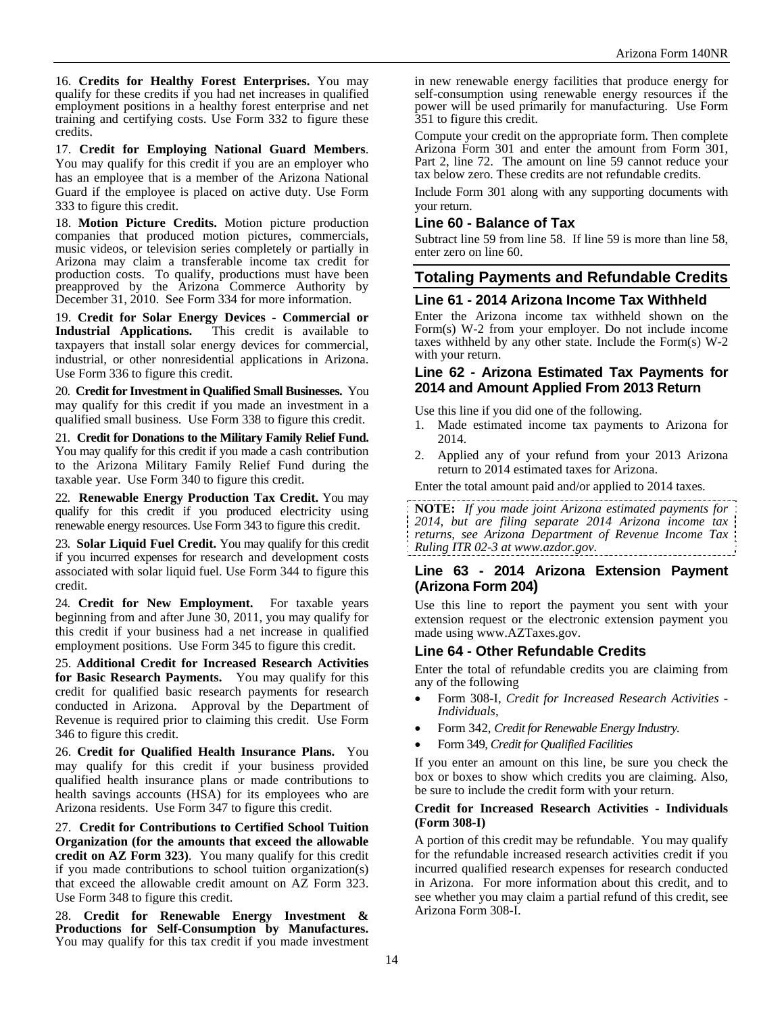16. **Credits for Healthy Forest Enterprises.** You may qualify for these credits if you had net increases in qualified employment positions in a healthy forest enterprise and net training and certifying costs. Use Form 332 to figure these credits.

17. **Credit for Employing National Guard Members**. You may qualify for this credit if you are an employer who has an employee that is a member of the Arizona National Guard if the employee is placed on active duty. Use Form 333 to figure this credit.

18. **Motion Picture Credits.** Motion picture production companies that produced motion pictures, commercials, music videos, or television series completely or partially in Arizona may claim a transferable income tax credit for production costs. To qualify, productions must have been preapproved by the Arizona Commerce Authority by December 31, 2010. See Form 334 for more information.

19. **Credit for Solar Energy Devices** - **Commercial or Industrial Applications.** This credit is available to taxpayers that install solar energy devices for commercial, industrial, or other nonresidential applications in Arizona. Use Form 336 to figure this credit.

20. **Credit for Investment in Qualified Small Businesses.** You may qualify for this credit if you made an investment in a qualified small business. Use Form 338 to figure this credit.

21. **Credit for Donations to the Military Family Relief Fund.** You may qualify for this credit if you made a cash contribution to the Arizona Military Family Relief Fund during the taxable year. Use Form 340 to figure this credit.

22. **Renewable Energy Production Tax Credit.** You may qualify for this credit if you produced electricity using renewable energy resources. Use Form 343 to figure this credit.

23. **Solar Liquid Fuel Credit.** You may qualify for this credit if you incurred expenses for research and development costs associated with solar liquid fuel. Use Form 344 to figure this credit.

24. **Credit for New Employment.** For taxable years beginning from and after June 30, 2011, you may qualify for this credit if your business had a net increase in qualified employment positions. Use Form 345 to figure this credit.

25. **Additional Credit for Increased Research Activities for Basic Research Payments.** You may qualify for this credit for qualified basic research payments for research conducted in Arizona. Approval by the Department of Revenue is required prior to claiming this credit. Use Form 346 to figure this credit.

26. **Credit for Qualified Health Insurance Plans.** You may qualify for this credit if your business provided qualified health insurance plans or made contributions to health savings accounts (HSA) for its employees who are Arizona residents. Use Form 347 to figure this credit.

27. **Credit for Contributions to Certified School Tuition Organization (for the amounts that exceed the allowable credit on AZ Form 323)**. You many qualify for this credit if you made contributions to school tuition organization(s) that exceed the allowable credit amount on AZ Form 323. Use Form 348 to figure this credit.

28. **Credit for Renewable Energy Investment &**  You may qualify for this tax credit if you made investment in new renewable energy facilities that produce energy for self-consumption using renewable energy resources if the power will be used primarily for manufacturing. Use Form 351 to figure this credit.

Compute your credit on the appropriate form. Then complete Arizona Form 301 and enter the amount from Form 301, Part 2, line 72. The amount on line 59 cannot reduce your tax below zero. These credits are not refundable credits.

Include Form 301 along with any supporting documents with your return.

## **Line 60 - Balance of Tax**

Subtract line 59 from line 58. If line 59 is more than line 58, enter zero on line 60.

# **Totaling Payments and Refundable Credits**

## **Line 61 - 2014 Arizona Income Tax Withheld**

Enter the Arizona income tax withheld shown on the Form(s) W-2 from your employer. Do not include income taxes withheld by any other state. Include the Form(s) W-2 with your return.

#### **Line 62 - Arizona Estimated Tax Payments for 2014 and Amount Applied From 2013 Return**

Use this line if you did one of the following.

- 1. Made estimated income tax payments to Arizona for 2014.
- 2. Applied any of your refund from your 2013 Arizona return to 2014 estimated taxes for Arizona.

Enter the total amount paid and/or applied to 2014 taxes.

**NOTE:** *If you made joint Arizona estimated payments for 2014, but are filing separate 2014 Arizona income tax returns, see Arizona Department of Revenue Income Tax Ruling ITR 02-3 at www.azdor.gov.*

#### **Line 63 - 2014 Arizona Extension Payment (Arizona Form 204)**

Use this line to report the payment you sent with your extension request or the electronic extension payment you made using www.AZTaxes.gov.

## **Line 64 - Other Refundable Credits**

Enter the total of refundable credits you are claiming from any of the following

- Form 308-I, *Credit for Increased Research Activities Individuals*,
- Form 342, *Credit for Renewable Energy Industry.*
- Form 349, *Credit for Qualified Facilities*

If you enter an amount on this line, be sure you check the box or boxes to show which credits you are claiming. Also, be sure to include the credit form with your return.

#### **Credit for Increased Research Activities - Individuals (Form 308-I)**

A portion of this credit may be refundable. You may qualify for the refundable increased research activities credit if you incurred qualified research expenses for research conducted in Arizona. For more information about this credit, and to see whether you may claim a partial refund of this credit, see Arizona Form 308-I.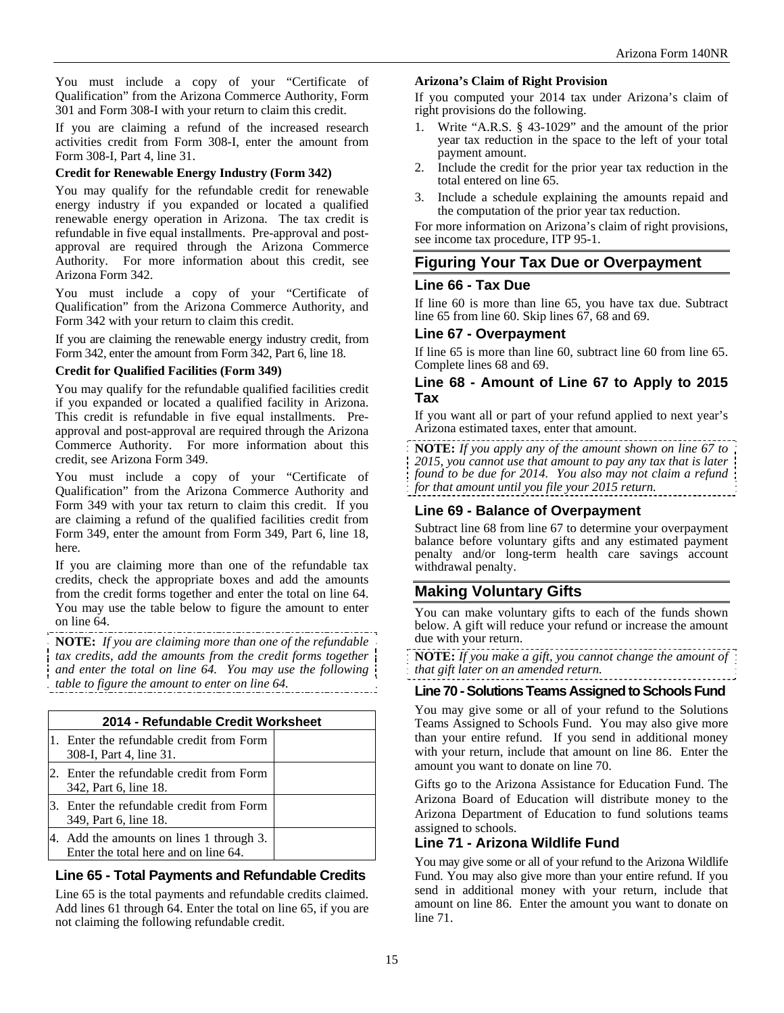You must include a copy of your "Certificate of Qualification" from the Arizona Commerce Authority, Form 301 and Form 308-I with your return to claim this credit.

If you are claiming a refund of the increased research activities credit from Form 308-I, enter the amount from Form 308-I, Part 4, line 31.

#### **Credit for Renewable Energy Industry (Form 342)**

You may qualify for the refundable credit for renewable energy industry if you expanded or located a qualified renewable energy operation in Arizona. The tax credit is refundable in five equal installments. Pre-approval and postapproval are required through the Arizona Commerce Authority. For more information about this credit, see Arizona Form 342.

You must include a copy of your "Certificate of Qualification" from the Arizona Commerce Authority, and Form 342 with your return to claim this credit.

If you are claiming the renewable energy industry credit, from Form 342, enter the amount from Form 342, Part 6, line 18.

#### **Credit for Qualified Facilities (Form 349)**

You may qualify for the refundable qualified facilities credit if you expanded or located a qualified facility in Arizona. This credit is refundable in five equal installments. Preapproval and post-approval are required through the Arizona Commerce Authority. For more information about this credit, see Arizona Form 349.

You must include a copy of your "Certificate of Qualification" from the Arizona Commerce Authority and Form 349 with your tax return to claim this credit. If you are claiming a refund of the qualified facilities credit from Form 349, enter the amount from Form 349, Part 6, line 18, here.

If you are claiming more than one of the refundable tax credits, check the appropriate boxes and add the amounts from the credit forms together and enter the total on line 64. You may use the table below to figure the amount to enter on line 64.

**NOTE:** *If you are claiming more than one of the refundable tax credits, add the amounts from the credit forms together and enter the total on line 64. You may use the following table to figure the amount to enter on line 64.* 

| 2014 - Refundable Credit Worksheet                                            |  |  |  |
|-------------------------------------------------------------------------------|--|--|--|
| Enter the refundable credit from Form<br>308-I, Part 4, line 31.              |  |  |  |
| Enter the refundable credit from Form<br>342, Part 6, line 18.                |  |  |  |
| 3. Enter the refundable credit from Form<br>349, Part 6, line 18.             |  |  |  |
| Add the amounts on lines 1 through 3.<br>Enter the total here and on line 64. |  |  |  |

# **Line 65 - Total Payments and Refundable Credits**

Line 65 is the total payments and refundable credits claimed. Add lines 61 through 64. Enter the total on line 65, if you are not claiming the following refundable credit.

#### **Arizona's Claim of Right Provision**

If you computed your 2014 tax under Arizona's claim of right provisions do the following.

- 1. Write "A.R.S. § 43-1029" and the amount of the prior year tax reduction in the space to the left of your total payment amount.
- 2. Include the credit for the prior year tax reduction in the total entered on line 65.
- 3. Include a schedule explaining the amounts repaid and the computation of the prior year tax reduction.

For more information on Arizona's claim of right provisions, see income tax procedure, ITP 95-1.

## **Figuring Your Tax Due or Overpayment**

#### **Line 66 - Tax Due**

If line 60 is more than line 65, you have tax due. Subtract line 65 from line 60. Skip lines 67, 68 and 69.

#### **Line 67 - Overpayment**

If line 65 is more than line 60, subtract line 60 from line 65. Complete lines 68 and 69.

## **Line 68 - Amount of Line 67 to Apply to 2015 Tax**

If you want all or part of your refund applied to next year's Arizona estimated taxes, enter that amount.

**NOTE:** *If you apply any of the amount shown on line 67 to 2015, you cannot use that amount to pay any tax that is later found to be due for 2014. You also may not claim a refund for that amount until you file your 2015 return.*

## **Line 69 - Balance of Overpayment**

Subtract line 68 from line 67 to determine your overpayment balance before voluntary gifts and any estimated payment penalty and/or long-term health care savings account withdrawal penalty.

# **Making Voluntary Gifts**

You can make voluntary gifts to each of the funds shown below. A gift will reduce your refund or increase the amount due with your return.

**NOTE:** *If you make a gift, you cannot change the amount of that gift later on an amended return.*

## **Line 70 - Solutions Teams Assigned to Schools Fund**

You may give some or all of your refund to the Solutions Teams Assigned to Schools Fund. You may also give more than your entire refund. If you send in additional money with your return, include that amount on line 86. Enter the amount you want to donate on line 70.

Gifts go to the Arizona Assistance for Education Fund. The Arizona Board of Education will distribute money to the Arizona Department of Education to fund solutions teams assigned to schools.

## **Line 71 - Arizona Wildlife Fund**

You may give some or all of your refund to the Arizona Wildlife Fund. You may also give more than your entire refund. If you send in additional money with your return, include that amount on line 86. Enter the amount you want to donate on line 71.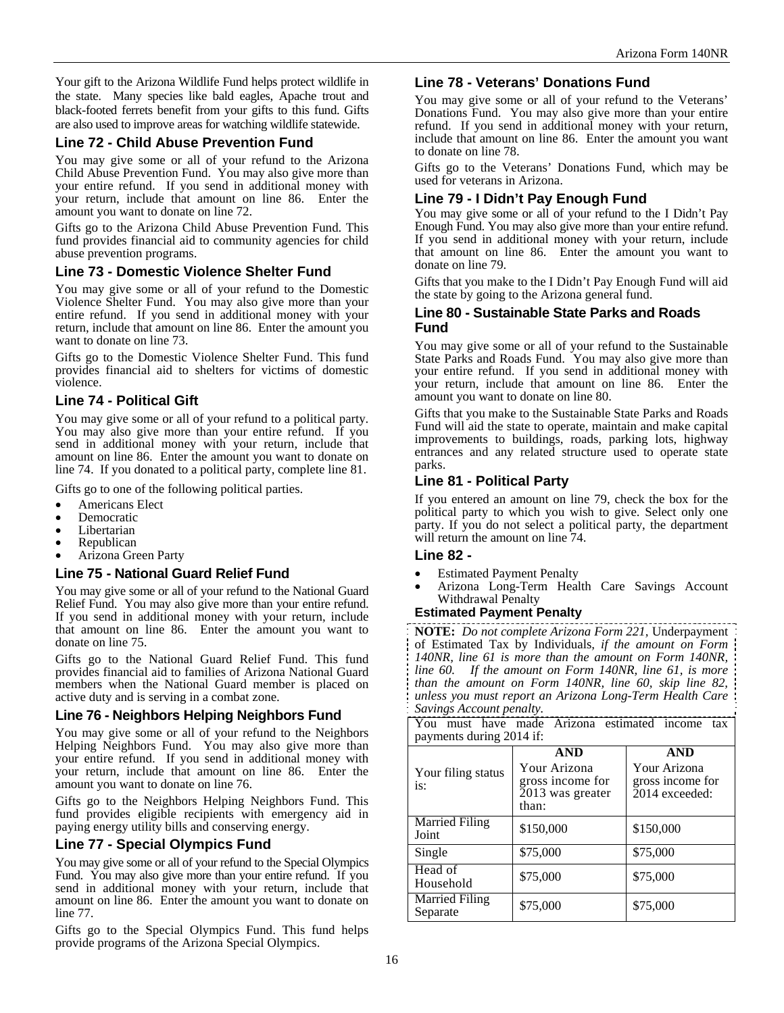Your gift to the Arizona Wildlife Fund helps protect wildlife in the state. Many species like bald eagles, Apache trout and black-footed ferrets benefit from your gifts to this fund. Gifts are also used to improve areas for watching wildlife statewide.

## **Line 72 - Child Abuse Prevention Fund**

You may give some or all of your refund to the Arizona Child Abuse Prevention Fund. You may also give more than your entire refund. If you send in additional money with your return, include that amount on line 86. Enter the amount you want to donate on line 72.

Gifts go to the Arizona Child Abuse Prevention Fund. This fund provides financial aid to community agencies for child abuse prevention programs.

#### **Line 73 - Domestic Violence Shelter Fund**

You may give some or all of your refund to the Domestic Violence Shelter Fund. You may also give more than your entire refund. If you send in additional money with your return, include that amount on line 86. Enter the amount you want to donate on line 73.

Gifts go to the Domestic Violence Shelter Fund. This fund provides financial aid to shelters for victims of domestic violence.

## **Line 74 - Political Gift**

You may give some or all of your refund to a political party. You may also give more than your entire refund. If you send in additional money with your return, include that amount on line 86. Enter the amount you want to donate on line 74. If you donated to a political party, complete line 81.

Gifts go to one of the following political parties.

- Americans Elect Democratic
- 
- Libertarian Republican
- 
- Arizona Green Party

#### **Line 75 - National Guard Relief Fund**

You may give some or all of your refund to the National Guard Relief Fund. You may also give more than your entire refund. If you send in additional money with your return, include that amount on line 86. Enter the amount you want to donate on line 75.

Gifts go to the National Guard Relief Fund. This fund provides financial aid to families of Arizona National Guard members when the National Guard member is placed on active duty and is serving in a combat zone.

#### **Line 76 - Neighbors Helping Neighbors Fund**

You may give some or all of your refund to the Neighbors Helping Neighbors Fund. You may also give more than your entire refund. If you send in additional money with your return, include that amount on line 86. Enter the amount you want to donate on line 76.

Gifts go to the Neighbors Helping Neighbors Fund. This fund provides eligible recipients with emergency aid in paying energy utility bills and conserving energy.

#### **Line 77 - Special Olympics Fund**

You may give some or all of your refund to the Special Olympics Fund. You may also give more than your entire refund. If you send in additional money with your return, include that amount on line 86. Enter the amount you want to donate on line 77.

Gifts go to the Special Olympics Fund. This fund helps provide programs of the Arizona Special Olympics.

#### **Line 78 - Veterans' Donations Fund**

You may give some or all of your refund to the Veterans' Donations Fund. You may also give more than your entire refund. If you send in additional money with your return, include that amount on line 86. Enter the amount you want to donate on line 78.

Gifts go to the Veterans' Donations Fund, which may be used for veterans in Arizona.

## **Line 79 - I Didn't Pay Enough Fund**

You may give some or all of your refund to the I Didn't Pay Enough Fund. You may also give more than your entire refund. If you send in additional money with your return, include that amount on line 86. Enter the amount you want to donate on line 79.

Gifts that you make to the I Didn't Pay Enough Fund will aid the state by going to the Arizona general fund.

#### **Line 80 - Sustainable State Parks and Roads Fund**

You may give some or all of your refund to the Sustainable State Parks and Roads Fund. You may also give more than your entire refund. If you send in additional money with your return, include that amount on line 86. Enter the amount you want to donate on line 80.

Gifts that you make to the Sustainable State Parks and Roads Fund will aid the state to operate, maintain and make capital improvements to buildings, roads, parking lots, highway entrances and any related structure used to operate state parks.

#### **Line 81 - Political Party**

If you entered an amount on line 79, check the box for the political party to which you wish to give. Select only one party. If you do not select a political party, the department will return the amount on line 74.

#### **Line 82 -**

- 
- Estimated Payment Penalty Arizona Long-Term Health Care Savings Account Withdrawal Penalty

#### **Estimated Payment Penalty**

**NOTE:** *Do not complete Arizona Form 221,* Underpayment of Estimated Tax by Individuals*, if the amount on Form 140NR, line 61 is more than the amount on Form 140NR, line 60. If the amount on Form 140NR, line 61, is more than the amount on Form 140NR, line 60, skip line 82, unless you must report an Arizona Long-Term Health Care Savings Account penalty.*

| savings riccomu penau y.                                                       |                                                                             |                                                                  |  |  |  |  |
|--------------------------------------------------------------------------------|-----------------------------------------------------------------------------|------------------------------------------------------------------|--|--|--|--|
| You must have made Arizona estimated income<br>tax<br>payments during 2014 if: |                                                                             |                                                                  |  |  |  |  |
| Your filing status<br>is:                                                      | <b>AND</b><br>Your Arizona<br>gross income for<br>2013 was greater<br>than: | <b>AND</b><br>Your Arizona<br>gross income for<br>2014 exceeded: |  |  |  |  |
| <b>Married Filing</b><br>Joint                                                 | \$150,000                                                                   | \$150,000                                                        |  |  |  |  |
| Single                                                                         | \$75,000                                                                    | \$75,000                                                         |  |  |  |  |
| Head of<br>Household                                                           | \$75,000                                                                    | \$75,000                                                         |  |  |  |  |
| <b>Married Filing</b><br>Separate                                              | \$75,000                                                                    | \$75,000                                                         |  |  |  |  |
|                                                                                |                                                                             |                                                                  |  |  |  |  |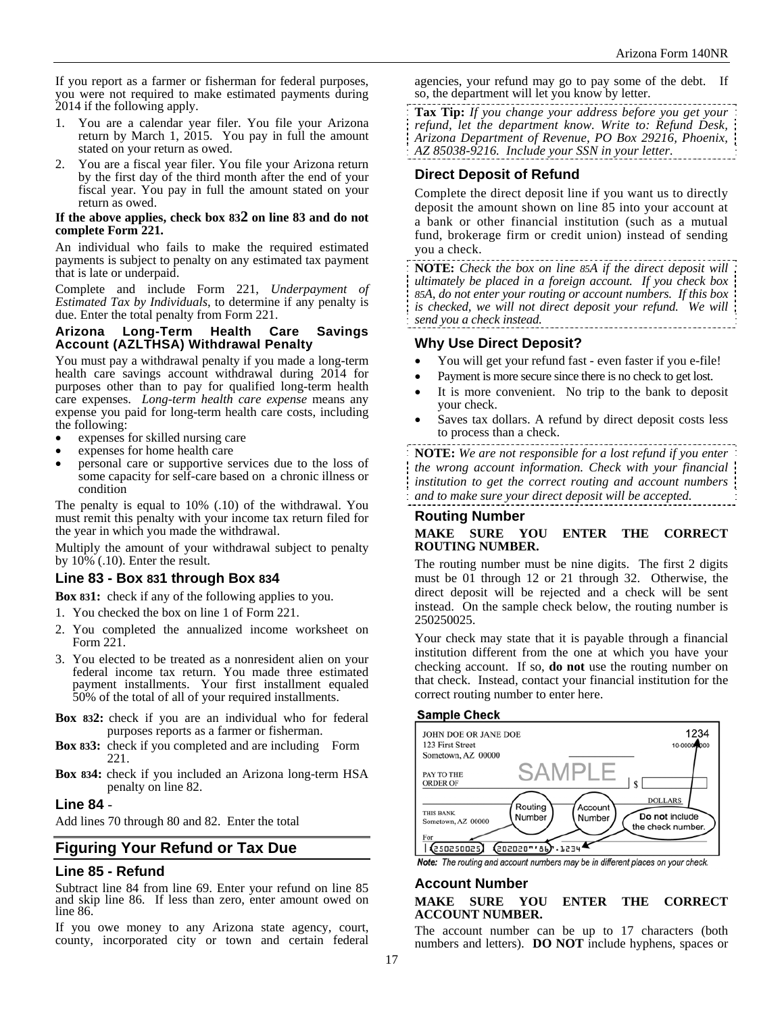If you report as a farmer or fisherman for federal purposes, you were not required to make estimated payments during 2014 if the following apply.

- 1. You are a calendar year filer. You file your Arizona return by March 1, 2015. You pay in full the amount stated on your return as owed.
- 2. You are a fiscal year filer. You file your Arizona return by the first day of the third month after the end of your fiscal year. You pay in full the amount stated on your return as owed.

#### **If the above applies, check box 832 on line 83 and do not complete Form 221.**

An individual who fails to make the required estimated payments is subject to penalty on any estimated tax payment that is late or underpaid.

Complete and include Form 221, *Underpayment of Estimated Tax by Individuals*, to determine if any penalty is due. Enter the total penalty from Form 221.

#### **Arizona Long-Term Health Care Savings Account (AZLTHSA) Withdrawal Penalty**

You must pay a withdrawal penalty if you made a long-term health care savings account withdrawal during 2014 for purposes other than to pay for qualified long-term health care expenses. *Long-term health care expense* means any expense you paid for long-term health care costs, including the following:

- expenses for skilled nursing care
- 
- expenses for home health care personal care or supportive services due to the loss of some capacity for self-care based on a chronic illness or condition

The penalty is equal to 10% (.10) of the withdrawal. You must remit this penalty with your income tax return filed for the year in which you made the withdrawal.

Multiply the amount of your withdrawal subject to penalty by 10% (.10). Enter the result.

## **Line 83 - Box 831 through Box 834**

**Box 831:** check if any of the following applies to you.

- 1. You checked the box on line 1 of Form 221.
- 2. You completed the annualized income worksheet on Form 221.
- 3. You elected to be treated as a nonresident alien on your federal income tax return. You made three estimated payment installments. Your first installment equaled 50% of the total of all of your required installments.
- **Box 832:** check if you are an individual who for federal purposes reports as a farmer or fisherman.
- **Box 833:** check if you completed and are including Form 221.
- **Box 834:** check if you included an Arizona long-term HSA penalty on line 82.

## **Line 84** -

Add lines 70 through 80 and 82. Enter the total

## **Figuring Your Refund or Tax Due**

## **Line 85 - Refund**

Subtract line 84 from line 69. Enter your refund on line 85 and skip line 86. If less than zero, enter amount owed on line 86.

If you owe money to any Arizona state agency, court, county, incorporated city or town and certain federal agencies, your refund may go to pay some of the debt. If so, the department will let you know by letter.

**Tax Tip:** *If you change your address before you get your refund, let the department know. Write to: Refund Desk, Arizona Department of Revenue, PO Box 29216, Phoenix, AZ 85038-9216. Include your SSN in your letter.* 

## **Direct Deposit of Refund**

Complete the direct deposit line if you want us to directly deposit the amount shown on line 85 into your account at a bank or other financial institution (such as a mutual fund, brokerage firm or credit union) instead of sending you a check.

**NOTE:** *Check the box on line 85A if the direct deposit will ultimately be placed in a foreign account. If you check box 85A, do not enter your routing or account numbers. If this box*  is checked, we will not direct deposit your refund. We will *send you a check instead.* 

## **Why Use Direct Deposit?**

- You will get your refund fast even faster if you e-file!
- Payment is more secure since there is no check to get lost.
- It is more convenient. No trip to the bank to deposit your check.
- Saves tax dollars. A refund by direct deposit costs less to process than a check.

**NOTE:** *We are not responsible for a lost refund if you enter the wrong account information. Check with your financial institution to get the correct routing and account numbers and to make sure your direct deposit will be accepted.*

# **Routing Number**

#### **MAKE SURE YOU ENTER THE CORRECT ROUTING NUMBER.**

The routing number must be nine digits. The first 2 digits must be 01 through 12 or 21 through 32. Otherwise, the direct deposit will be rejected and a check will be sent instead. On the sample check below, the routing number is 250250025.

Your check may state that it is payable through a financial institution different from the one at which you have your checking account. If so, **do not** use the routing number on that check. Instead, contact your financial institution for the correct routing number to enter here.

#### **Sample Check**



Note: The routing and account numbers may be in different places on your check.

## **Account Number**

#### **MAKE SURE YOU ENTER THE CORRECT ACCOUNT NUMBER.**

The account number can be up to 17 characters (both numbers and letters). **DO NOT** include hyphens, spaces or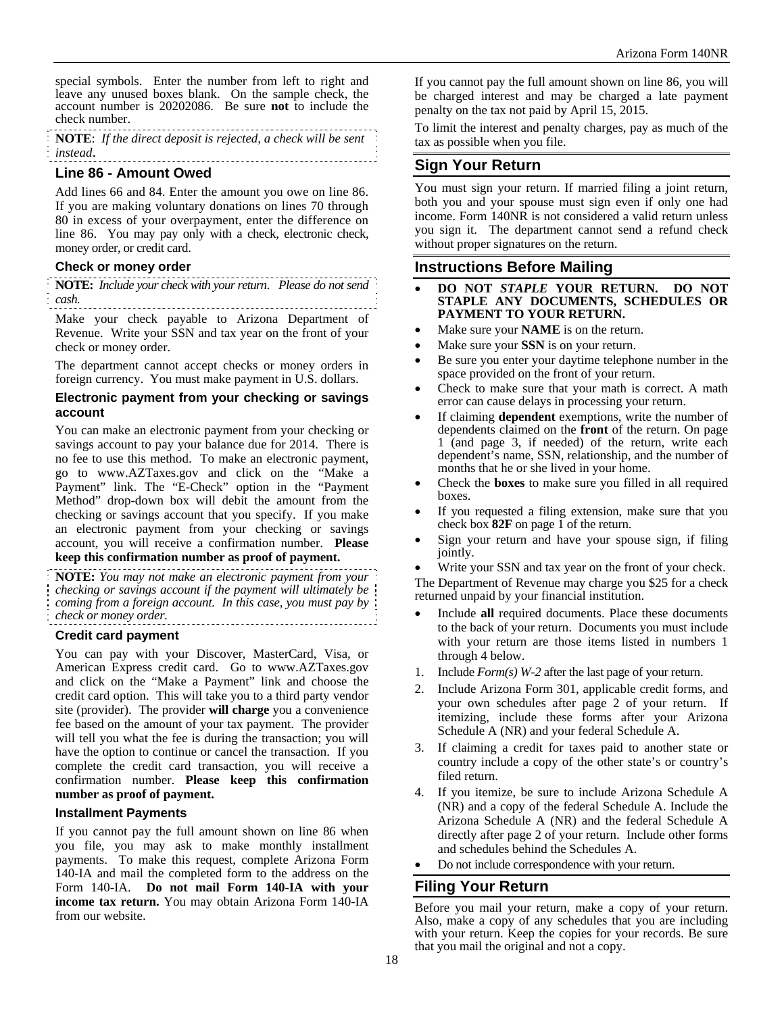special symbols. Enter the number from left to right and leave any unused boxes blank. On the sample check, the account number is 20202086. Be sure **not** to include the check number.

**NOTE**: *If the direct deposit is rejected, a check will be sent instead*. 

## **Line 86 - Amount Owed**

Add lines 66 and 84. Enter the amount you owe on line 86. If you are making voluntary donations on lines 70 through 80 in excess of your overpayment, enter the difference on line 86.You may pay only with a check, electronic check, money order, or credit card.

## **Check or money order**

**NOTE:** *Include your check with your return*. *Please do not send cash.*

Make your check payable to Arizona Department of Revenue. Write your SSN and tax year on the front of your check or money order.

The department cannot accept checks or money orders in foreign currency. You must make payment in U.S. dollars.

#### **Electronic payment from your checking or savings account**

You can make an electronic payment from your checking or savings account to pay your balance due for 2014. There is no fee to use this method. To make an electronic payment, go to www.AZTaxes.gov and click on the "Make a Payment" link. The "E-Check" option in the "Payment Method" drop-down box will debit the amount from the checking or savings account that you specify. If you make an electronic payment from your checking or savings account, you will receive a confirmation number. **Please** 

## **keep this confirmation number as proof of payment.**

**NOTE:** *You may not make an electronic payment from your checking or savings account if the payment will ultimately be coming from a foreign account. In this case, you must pay by check or money order.*  

#### **Credit card payment**

You can pay with your Discover, MasterCard, Visa, or American Express credit card. Go to www.AZTaxes.gov and click on the "Make a Payment" link and choose the credit card option. This will take you to a third party vendor site (provider). The provider **will charge** you a convenience fee based on the amount of your tax payment. The provider will tell you what the fee is during the transaction; you will have the option to continue or cancel the transaction. If you complete the credit card transaction, you will receive a confirmation number. **Please keep this confirmation number as proof of payment.**

#### **Installment Payments**

If you cannot pay the full amount shown on line 86 when you file, you may ask to make monthly installment payments. To make this request, complete Arizona Form 140-IA and mail the completed form to the address on the Form 140-IA. **Do not mail Form 140**-**IA with your income tax return.** You may obtain Arizona Form 140-IA from our website.

If you cannot pay the full amount shown on line 86, you will be charged interest and may be charged a late payment penalty on the tax not paid by April 15, 2015.

To limit the interest and penalty charges, pay as much of the tax as possible when you file.

## **Sign Your Return**

You must sign your return. If married filing a joint return, both you and your spouse must sign even if only one had income. Form 140NR is not considered a valid return unless you sign it. The department cannot send a refund check without proper signatures on the return.

## **Instructions Before Mailing**

- **DO NOT** *STAPLE* **YOUR RETURN. DO NOT STAPLE ANY DOCUMENTS, SCHEDULES OR PAYMENT TO YOUR RETURN.**
- Make sure your **NAME** is on the return.
- Make sure your **SSN** is on your return.
- Be sure you enter your daytime telephone number in the space provided on the front of your return.
- Check to make sure that your math is correct. A math error can cause delays in processing your return.
- If claiming **dependent** exemptions, write the number of dependents claimed on the **front** of the return. On page 1 (and page 3, if needed) of the return, write each dependent's name, SSN, relationship, and the number of months that he or she lived in your home.
- Check the **boxes** to make sure you filled in all required boxes.
- If you requested a filing extension, make sure that you check box **82F** on page 1 of the return.
- Sign your return and have your spouse sign, if filing jointly.

 Write your SSN and tax year on the front of your check. The Department of Revenue may charge you \$25 for a check returned unpaid by your financial institution.

- Include all required documents. Place these documents to the back of your return. Documents you must include with your return are those items listed in numbers 1 through 4 below.
- 1. Include *Form(s) W-2* after the last page of your return.
- 2. Include Arizona Form 301, applicable credit forms, and your own schedules after page 2 of your return. If itemizing, include these forms after your Arizona Schedule A (NR) and your federal Schedule A.
- 3. If claiming a credit for taxes paid to another state or country include a copy of the other state's or country's filed return.
- 4. If you itemize, be sure to include Arizona Schedule A (NR) and a copy of the federal Schedule A. Include the Arizona Schedule A (NR) and the federal Schedule A directly after page 2 of your return. Include other forms and schedules behind the Schedules A.
- Do not include correspondence with your return.

## **Filing Your Return**

Before you mail your return, make a copy of your return. Also, make a copy of any schedules that you are including with your return. Keep the copies for your records. Be sure that you mail the original and not a copy.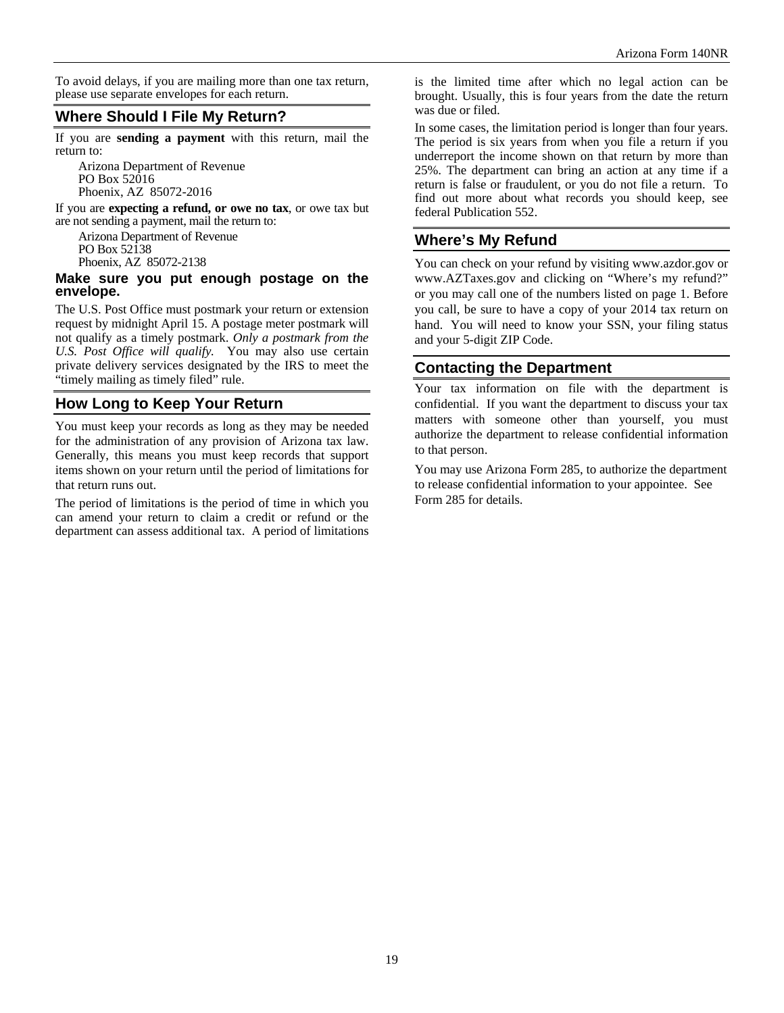To avoid delays, if you are mailing more than one tax return, please use separate envelopes for each return.

# **Where Should I File My Return?**

If you are **sending a payment** with this return, mail the return to:

Arizona Department of Revenue PO Box 52016 Phoenix, AZ 85072-2016

If you are **expecting a refund, or owe no tax**, or owe tax but are not sending a payment, mail the return to:

Arizona Department of Revenue PO Box 52138

Phoenix, AZ 85072-2138

#### **Make sure you put enough postage on the envelope.**

The U.S. Post Office must postmark your return or extension request by midnight April 15. A postage meter postmark will not qualify as a timely postmark. *Only a postmark from the U.S. Post Office will qualify.* You may also use certain private delivery services designated by the IRS to meet the "timely mailing as timely filed" rule.

# **How Long to Keep Your Return**

You must keep your records as long as they may be needed for the administration of any provision of Arizona tax law. Generally, this means you must keep records that support items shown on your return until the period of limitations for that return runs out.

The period of limitations is the period of time in which you can amend your return to claim a credit or refund or the department can assess additional tax. A period of limitations is the limited time after which no legal action can be brought. Usually, this is four years from the date the return was due or filed.

In some cases, the limitation period is longer than four years. The period is six years from when you file a return if you underreport the income shown on that return by more than 25%. The department can bring an action at any time if a return is false or fraudulent, or you do not file a return. To find out more about what records you should keep, see federal Publication 552.

# **Where's My Refund**

You can check on your refund by visiting www.azdor.gov or www.AZTaxes.gov and clicking on "Where's my refund?" or you may call one of the numbers listed on page 1. Before you call, be sure to have a copy of your 2014 tax return on hand. You will need to know your SSN, your filing status and your 5-digit ZIP Code.

# **Contacting the Department**

Your tax information on file with the department is confidential. If you want the department to discuss your tax matters with someone other than yourself, you must authorize the department to release confidential information to that person.

You may use Arizona Form 285, to authorize the department to release confidential information to your appointee. See Form 285 for details.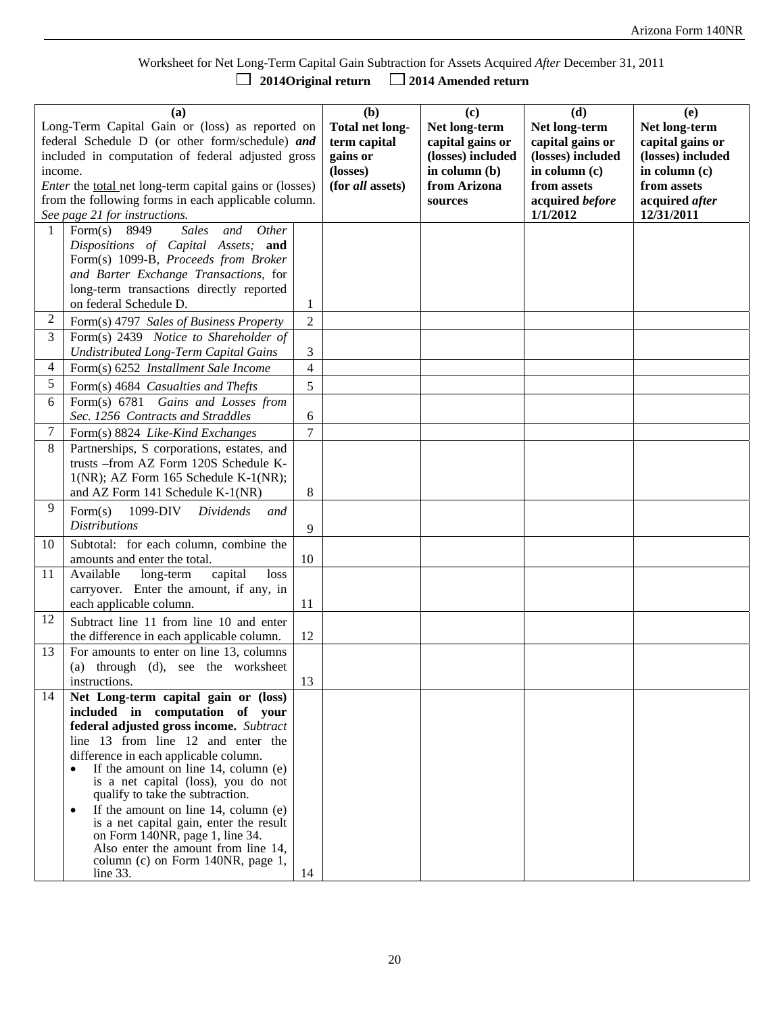Worksheet for Net Long-Term Capital Gain Subtraction for Assets Acquired *After* December 31, 2011  $\Box$  2014 Amended return

| (a)<br>Long-Term Capital Gain or (loss) as reported on<br>federal Schedule D (or other form/schedule) and<br>included in computation of federal adjusted gross<br>income.<br><i>Enter</i> the <u>total</u> net long-term capital gains or (losses)<br>from the following forms in each applicable column.<br>See page 21 for instructions. |                                                                                               |                | (b)<br><b>Total net long-</b><br>term capital<br>gains or<br>(losses)<br>(for all assets) | (c)<br>Net long-term<br>capital gains or<br>(losses) included<br>in column (b)<br>from Arizona<br>sources | (d)<br>Net long-term<br>capital gains or<br>(losses) included<br>in column (c)<br>from assets<br>acquired before<br>1/1/2012 | (e)<br>Net long-term<br>capital gains or<br>(losses) included<br>in column (c)<br>from assets<br>acquired after<br>12/31/2011 |
|--------------------------------------------------------------------------------------------------------------------------------------------------------------------------------------------------------------------------------------------------------------------------------------------------------------------------------------------|-----------------------------------------------------------------------------------------------|----------------|-------------------------------------------------------------------------------------------|-----------------------------------------------------------------------------------------------------------|------------------------------------------------------------------------------------------------------------------------------|-------------------------------------------------------------------------------------------------------------------------------|
| $\mathbf{1}$                                                                                                                                                                                                                                                                                                                               | Form(s)<br>Other<br>8949<br><b>Sales</b><br>and                                               |                |                                                                                           |                                                                                                           |                                                                                                                              |                                                                                                                               |
|                                                                                                                                                                                                                                                                                                                                            | Dispositions of Capital Assets; and                                                           |                |                                                                                           |                                                                                                           |                                                                                                                              |                                                                                                                               |
|                                                                                                                                                                                                                                                                                                                                            | Form(s) 1099-B, Proceeds from Broker                                                          |                |                                                                                           |                                                                                                           |                                                                                                                              |                                                                                                                               |
|                                                                                                                                                                                                                                                                                                                                            | and Barter Exchange Transactions, for                                                         |                |                                                                                           |                                                                                                           |                                                                                                                              |                                                                                                                               |
|                                                                                                                                                                                                                                                                                                                                            | long-term transactions directly reported                                                      |                |                                                                                           |                                                                                                           |                                                                                                                              |                                                                                                                               |
|                                                                                                                                                                                                                                                                                                                                            | on federal Schedule D.                                                                        | 1              |                                                                                           |                                                                                                           |                                                                                                                              |                                                                                                                               |
| 2                                                                                                                                                                                                                                                                                                                                          | Form(s) 4797 Sales of Business Property                                                       | $\overline{2}$ |                                                                                           |                                                                                                           |                                                                                                                              |                                                                                                                               |
| 3                                                                                                                                                                                                                                                                                                                                          | Form(s) 2439 Notice to Shareholder of                                                         |                |                                                                                           |                                                                                                           |                                                                                                                              |                                                                                                                               |
|                                                                                                                                                                                                                                                                                                                                            | <b>Undistributed Long-Term Capital Gains</b>                                                  | 3              |                                                                                           |                                                                                                           |                                                                                                                              |                                                                                                                               |
| 4                                                                                                                                                                                                                                                                                                                                          | Form(s) 6252 Installment Sale Income                                                          | $\overline{4}$ |                                                                                           |                                                                                                           |                                                                                                                              |                                                                                                                               |
| 5                                                                                                                                                                                                                                                                                                                                          | Form(s) 4684 Casualties and Thefts                                                            | 5              |                                                                                           |                                                                                                           |                                                                                                                              |                                                                                                                               |
| 6                                                                                                                                                                                                                                                                                                                                          | Form(s) 6781 Gains and Losses from                                                            |                |                                                                                           |                                                                                                           |                                                                                                                              |                                                                                                                               |
|                                                                                                                                                                                                                                                                                                                                            | Sec. 1256 Contracts and Straddles                                                             | 6              |                                                                                           |                                                                                                           |                                                                                                                              |                                                                                                                               |
| 7                                                                                                                                                                                                                                                                                                                                          | Form(s) 8824 Like-Kind Exchanges                                                              | $\overline{7}$ |                                                                                           |                                                                                                           |                                                                                                                              |                                                                                                                               |
| 8                                                                                                                                                                                                                                                                                                                                          | Partnerships, S corporations, estates, and<br>trusts -- from AZ Form 120S Schedule K-         |                |                                                                                           |                                                                                                           |                                                                                                                              |                                                                                                                               |
|                                                                                                                                                                                                                                                                                                                                            | 1(NR); AZ Form 165 Schedule K-1(NR);                                                          |                |                                                                                           |                                                                                                           |                                                                                                                              |                                                                                                                               |
|                                                                                                                                                                                                                                                                                                                                            | and AZ Form 141 Schedule K-1(NR)                                                              | 8              |                                                                                           |                                                                                                           |                                                                                                                              |                                                                                                                               |
| 9                                                                                                                                                                                                                                                                                                                                          | Form(s)<br>1099-DIV                                                                           |                |                                                                                           |                                                                                                           |                                                                                                                              |                                                                                                                               |
|                                                                                                                                                                                                                                                                                                                                            | Dividends<br>and<br><i>Distributions</i>                                                      |                |                                                                                           |                                                                                                           |                                                                                                                              |                                                                                                                               |
|                                                                                                                                                                                                                                                                                                                                            | Subtotal: for each column, combine the                                                        | 9              |                                                                                           |                                                                                                           |                                                                                                                              |                                                                                                                               |
| 10                                                                                                                                                                                                                                                                                                                                         | amounts and enter the total.                                                                  | 10             |                                                                                           |                                                                                                           |                                                                                                                              |                                                                                                                               |
| 11                                                                                                                                                                                                                                                                                                                                         | Available<br>long-term<br>capital<br>loss                                                     |                |                                                                                           |                                                                                                           |                                                                                                                              |                                                                                                                               |
|                                                                                                                                                                                                                                                                                                                                            | carryover. Enter the amount, if any, in                                                       |                |                                                                                           |                                                                                                           |                                                                                                                              |                                                                                                                               |
|                                                                                                                                                                                                                                                                                                                                            | each applicable column.                                                                       | 11             |                                                                                           |                                                                                                           |                                                                                                                              |                                                                                                                               |
| 12                                                                                                                                                                                                                                                                                                                                         | Subtract line 11 from line 10 and enter                                                       |                |                                                                                           |                                                                                                           |                                                                                                                              |                                                                                                                               |
|                                                                                                                                                                                                                                                                                                                                            | the difference in each applicable column.                                                     | 12             |                                                                                           |                                                                                                           |                                                                                                                              |                                                                                                                               |
| 13                                                                                                                                                                                                                                                                                                                                         | For amounts to enter on line 13, columns                                                      |                |                                                                                           |                                                                                                           |                                                                                                                              |                                                                                                                               |
|                                                                                                                                                                                                                                                                                                                                            | through (d), see the worksheet<br>(a)                                                         |                |                                                                                           |                                                                                                           |                                                                                                                              |                                                                                                                               |
|                                                                                                                                                                                                                                                                                                                                            | instructions.                                                                                 | 13             |                                                                                           |                                                                                                           |                                                                                                                              |                                                                                                                               |
| 14                                                                                                                                                                                                                                                                                                                                         | Net Long-term capital gain or (loss)                                                          |                |                                                                                           |                                                                                                           |                                                                                                                              |                                                                                                                               |
|                                                                                                                                                                                                                                                                                                                                            | included in computation of your                                                               |                |                                                                                           |                                                                                                           |                                                                                                                              |                                                                                                                               |
|                                                                                                                                                                                                                                                                                                                                            | federal adjusted gross income. Subtract                                                       |                |                                                                                           |                                                                                                           |                                                                                                                              |                                                                                                                               |
|                                                                                                                                                                                                                                                                                                                                            | line 13 from line 12 and enter the                                                            |                |                                                                                           |                                                                                                           |                                                                                                                              |                                                                                                                               |
|                                                                                                                                                                                                                                                                                                                                            | difference in each applicable column.<br>If the amount on line $14$ , column (e)<br>$\bullet$ |                |                                                                                           |                                                                                                           |                                                                                                                              |                                                                                                                               |
|                                                                                                                                                                                                                                                                                                                                            | is a net capital (loss), you do not                                                           |                |                                                                                           |                                                                                                           |                                                                                                                              |                                                                                                                               |
|                                                                                                                                                                                                                                                                                                                                            | qualify to take the subtraction.                                                              |                |                                                                                           |                                                                                                           |                                                                                                                              |                                                                                                                               |
|                                                                                                                                                                                                                                                                                                                                            | If the amount on line $14$ , column (e)                                                       |                |                                                                                           |                                                                                                           |                                                                                                                              |                                                                                                                               |
|                                                                                                                                                                                                                                                                                                                                            | is a net capital gain, enter the result                                                       |                |                                                                                           |                                                                                                           |                                                                                                                              |                                                                                                                               |
|                                                                                                                                                                                                                                                                                                                                            | on Form $140NR$ , page 1, line 34.<br>Also enter the amount from line 14,                     |                |                                                                                           |                                                                                                           |                                                                                                                              |                                                                                                                               |
|                                                                                                                                                                                                                                                                                                                                            | column (c) on Form 140NR, page 1,                                                             |                |                                                                                           |                                                                                                           |                                                                                                                              |                                                                                                                               |
|                                                                                                                                                                                                                                                                                                                                            | line $33$ .                                                                                   | 14             |                                                                                           |                                                                                                           |                                                                                                                              |                                                                                                                               |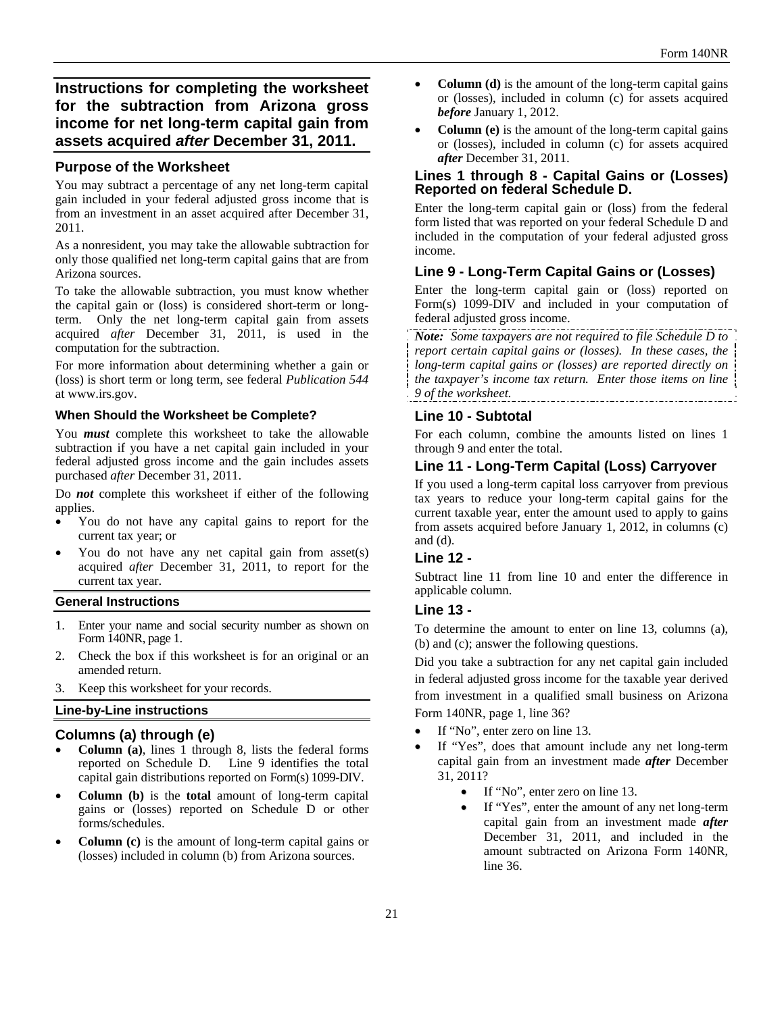# **Instructions for completing the worksheet for the subtraction from Arizona gross income for net long-term capital gain from assets acquired** *after* **December 31, 2011.**

## **Purpose of the Worksheet**

You may subtract a percentage of any net long-term capital gain included in your federal adjusted gross income that is from an investment in an asset acquired after December 31, 2011.

As a nonresident, you may take the allowable subtraction for only those qualified net long-term capital gains that are from Arizona sources.

To take the allowable subtraction, you must know whether the capital gain or (loss) is considered short-term or longterm. Only the net long-term capital gain from assets acquired *after* December 31, 2011, is used in the computation for the subtraction.

For more information about determining whether a gain or (loss) is short term or long term, see federal *Publication 544* at www.irs.gov.

#### **When Should the Worksheet be Complete?**

You *must* complete this worksheet to take the allowable subtraction if you have a net capital gain included in your federal adjusted gross income and the gain includes assets purchased *after* December 31, 2011.

Do *not* complete this worksheet if either of the following applies.

- You do not have any capital gains to report for the current tax year; or
- You do not have any net capital gain from asset(s) acquired *after* December 31, 2011, to report for the current tax year.

#### **General Instructions**

- 1. Enter your name and social security number as shown on Form 140NR, page 1.
- 2. Check the box if this worksheet is for an original or an amended return.
- 3. Keep this worksheet for your records.

#### **Line-by-Line instructions**

#### **Columns (a) through (e)**

- **Column (a)**, lines 1 through 8, lists the federal forms reported on Schedule D. Line 9 identifies the total capital gain distributions reported on Form(s) 1099-DIV.
- **Column (b)** is the **total** amount of long-term capital gains or (losses) reported on Schedule D or other forms/schedules.
- **Column (c)** is the amount of long-term capital gains or (losses) included in column (b) from Arizona sources.
- **Column (d)** is the amount of the long-term capital gains or (losses), included in column (c) for assets acquired *before* January 1, 2012.
- **Column (e)** is the amount of the long-term capital gains or (losses), included in column (c) for assets acquired *after* December 31, 2011.

## **Lines 1 through 8 - Capital Gains or (Losses) Reported on federal Schedule D.**

Enter the long-term capital gain or (loss) from the federal form listed that was reported on your federal Schedule D and included in the computation of your federal adjusted gross income.

## **Line 9 - Long-Term Capital Gains or (Losses)**

Enter the long-term capital gain or (loss) reported on Form(s) 1099-DIV and included in your computation of federal adjusted gross income.

*Note: Some taxpayers are not required to file Schedule D to report certain capital gains or (losses). In these cases, the long-term capital gains or (losses) are reported directly on the taxpayer's income tax return. Enter those items on line 9 of the worksheet.* 

## **Line 10 - Subtotal**

For each column, combine the amounts listed on lines 1 through 9 and enter the total.

## **Line 11 - Long-Term Capital (Loss) Carryover**

If you used a long-term capital loss carryover from previous tax years to reduce your long-term capital gains for the current taxable year, enter the amount used to apply to gains from assets acquired before January 1, 2012, in columns (c) and  $(d)$ .

## **Line 12 -**

Subtract line 11 from line 10 and enter the difference in applicable column.

## **Line 13 -**

To determine the amount to enter on line 13, columns (a), (b) and (c); answer the following questions.

Did you take a subtraction for any net capital gain included in federal adjusted gross income for the taxable year derived from investment in a qualified small business on Arizona Form 140NR, page 1, line 36?

- If "No", enter zero on line 13.
- If "Yes", does that amount include any net long-term capital gain from an investment made *after* December 31, 2011?
	- If "No", enter zero on line 13.
	- If "Yes", enter the amount of any net long-term capital gain from an investment made *after* December 31, 2011, and included in the amount subtracted on Arizona Form 140NR, line 36.